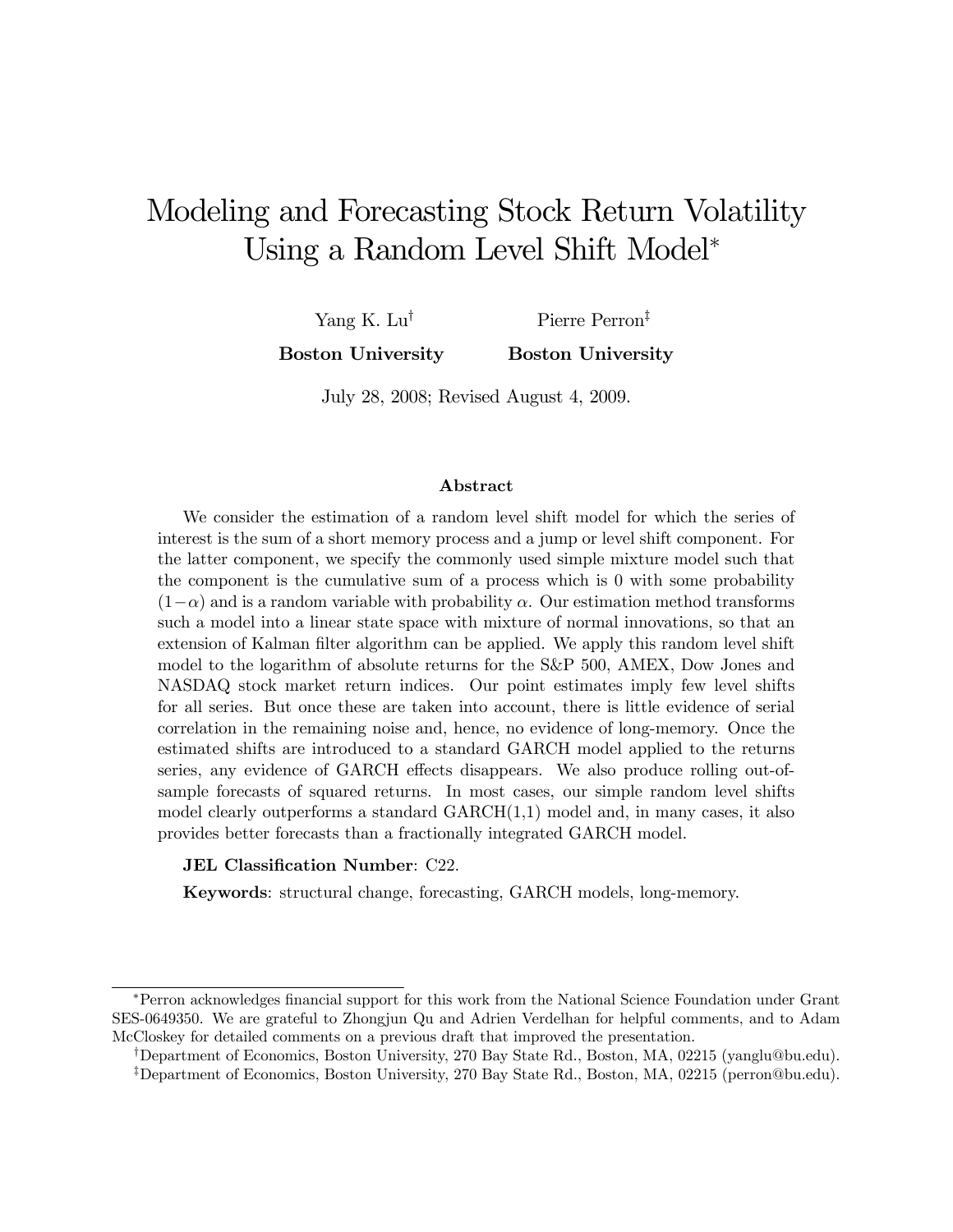# Modeling and Forecasting Stock Return Volatility Using a Random Level Shift Model<sup>∗</sup>

Yang K. Lu†

Pierre Perron‡

Boston University

Boston University

July 28, 2008; Revised August 4, 2009.

#### Abstract

We consider the estimation of a random level shift model for which the series of interest is the sum of a short memory process and a jump or level shift component. For the latter component, we specify the commonly used simple mixture model such that the component is the cumulative sum of a process which is 0 with some probability  $(1-\alpha)$  and is a random variable with probability  $\alpha$ . Our estimation method transforms such a model into a linear state space with mixture of normal innovations, so that an extension of Kalman filter algorithm can be applied. We apply this random level shift model to the logarithm of absolute returns for the S&P 500, AMEX, Dow Jones and NASDAQ stock market return indices. Our point estimates imply few level shifts for all series. But once these are taken into account, there is little evidence of serial correlation in the remaining noise and, hence, no evidence of long-memory. Once the estimated shifts are introduced to a standard GARCH model applied to the returns series, any evidence of GARCH effects disappears. We also produce rolling out-ofsample forecasts of squared returns. In most cases, our simple random level shifts model clearly outperforms a standard  $GARCH(1,1)$  model and, in many cases, it also provides better forecasts than a fractionally integrated GARCH model.

#### JEL Classification Number: C22.

Keywords: structural change, forecasting, GARCH models, long-memory.

<sup>∗</sup>Perron acknowledges financial support for this work from the National Science Foundation under Grant SES-0649350. We are grateful to Zhongjun Qu and Adrien Verdelhan for helpful comments, and to Adam McCloskey for detailed comments on a previous draft that improved the presentation.

<sup>†</sup>Department of Economics, Boston University, 270 Bay State Rd., Boston, MA, 02215 (yanglu@bu.edu). ‡Department of Economics, Boston University, 270 Bay State Rd., Boston, MA, 02215 (perron@bu.edu).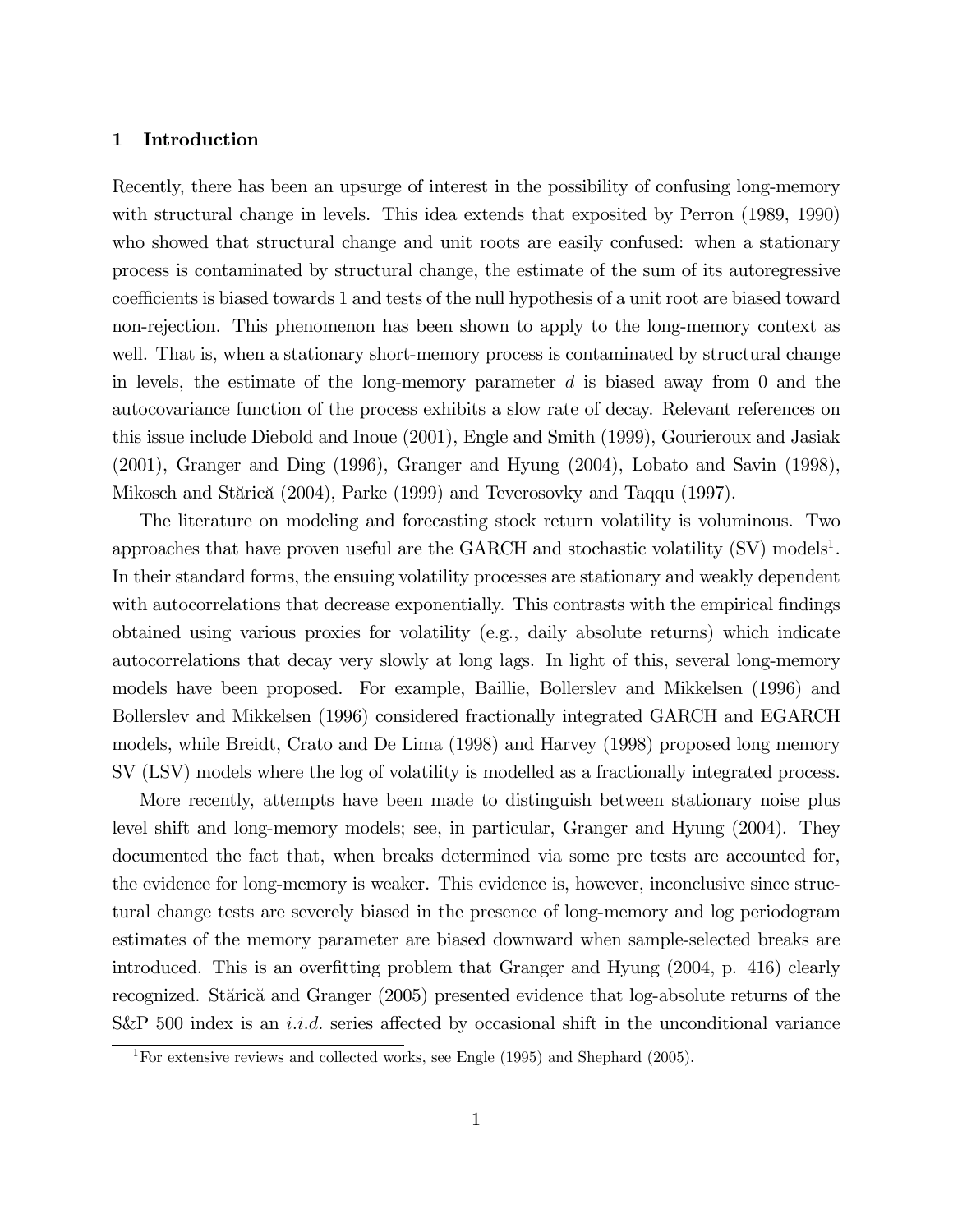#### 1 Introduction

Recently, there has been an upsurge of interest in the possibility of confusing long-memory with structural change in levels. This idea extends that exposited by Perron (1989, 1990) who showed that structural change and unit roots are easily confused: when a stationary process is contaminated by structural change, the estimate of the sum of its autoregressive coefficients is biased towards 1 and tests of the null hypothesis of a unit root are biased toward non-rejection. This phenomenon has been shown to apply to the long-memory context as well. That is, when a stationary short-memory process is contaminated by structural change in levels, the estimate of the long-memory parameter  $d$  is biased away from 0 and the autocovariance function of the process exhibits a slow rate of decay. Relevant references on this issue include Diebold and Inoue (2001), Engle and Smith (1999), Gourieroux and Jasiak (2001), Granger and Ding (1996), Granger and Hyung (2004), Lobato and Savin (1998), Mikosch and Stărică  $(2004)$ , Parke  $(1999)$  and Teverosovky and Taqqu  $(1997)$ .

The literature on modeling and forecasting stock return volatility is voluminous. Two approaches that have proven useful are the GARCH and stochastic volatility  $(SV)$  models<sup>1</sup>. In their standard forms, the ensuing volatility processes are stationary and weakly dependent with autocorrelations that decrease exponentially. This contrasts with the empirical findings obtained using various proxies for volatility (e.g., daily absolute returns) which indicate autocorrelations that decay very slowly at long lags. In light of this, several long-memory models have been proposed. For example, Baillie, Bollerslev and Mikkelsen (1996) and Bollerslev and Mikkelsen (1996) considered fractionally integrated GARCH and EGARCH models, while Breidt, Crato and De Lima (1998) and Harvey (1998) proposed long memory SV (LSV) models where the log of volatility is modelled as a fractionally integrated process.

More recently, attempts have been made to distinguish between stationary noise plus level shift and long-memory models; see, in particular, Granger and Hyung (2004). They documented the fact that, when breaks determined via some pre tests are accounted for, the evidence for long-memory is weaker. This evidence is, however, inconclusive since structural change tests are severely biased in the presence of long-memory and log periodogram estimates of the memory parameter are biased downward when sample-selected breaks are introduced. This is an overfitting problem that Granger and Hyung (2004, p. 416) clearly recognized. Starica and Granger (2005) presented evidence that log-absolute returns of the S&P 500 index is an *i.i.d.* series affected by occasional shift in the unconditional variance

<sup>&</sup>lt;sup>1</sup>For extensive reviews and collected works, see Engle (1995) and Shephard (2005).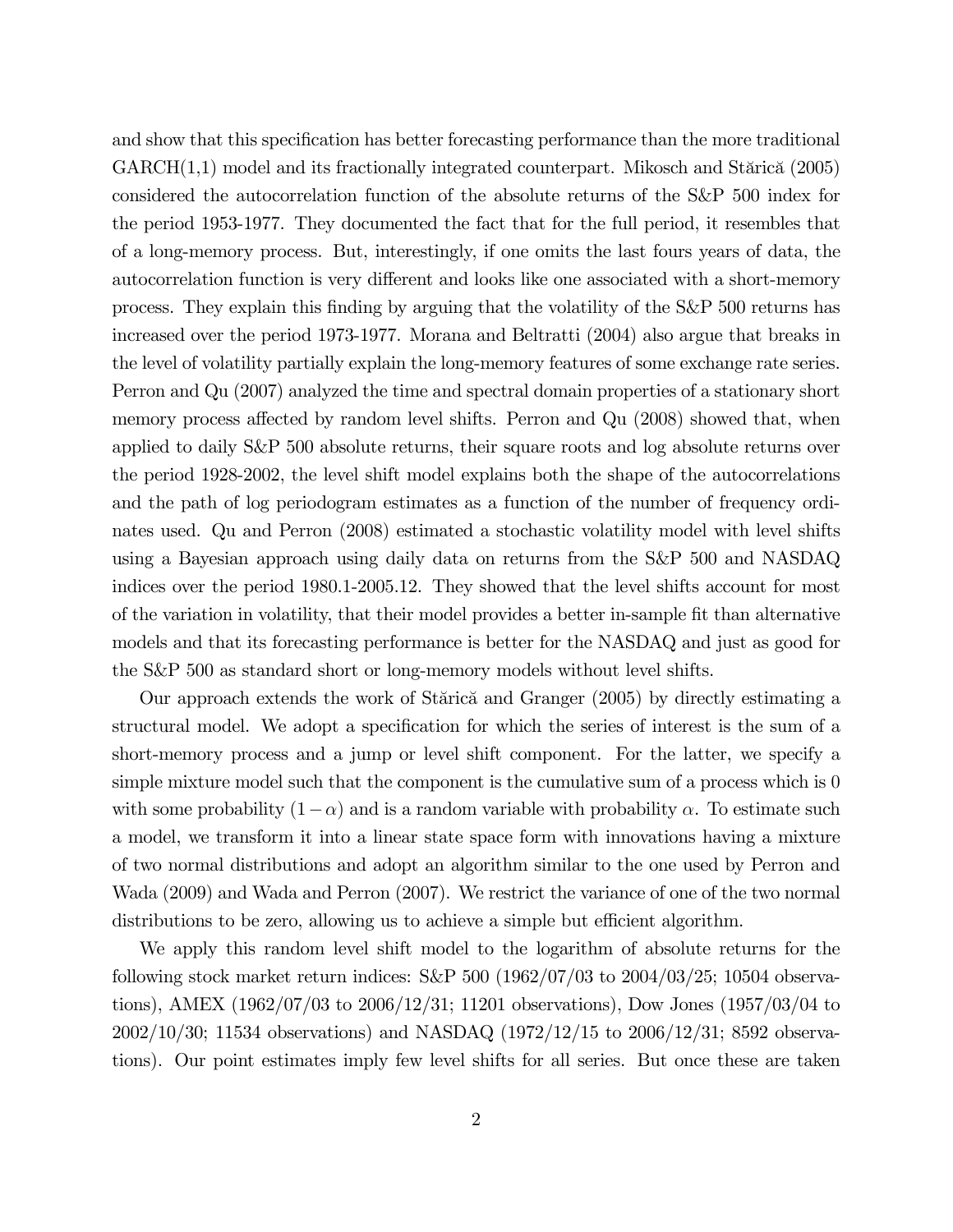and show that this specification has better forecasting performance than the more traditional  $GARCH(1,1)$  model and its fractionally integrated counterpart. Mikosch and Starica  $(2005)$ considered the autocorrelation function of the absolute returns of the S&P 500 index for the period 1953-1977. They documented the fact that for the full period, it resembles that of a long-memory process. But, interestingly, if one omits the last fours years of data, the autocorrelation function is very different and looks like one associated with a short-memory process. They explain this finding by arguing that the volatility of the S&P 500 returns has increased over the period 1973-1977. Morana and Beltratti (2004) also argue that breaks in the level of volatility partially explain the long-memory features of some exchange rate series. Perron and Qu (2007) analyzed the time and spectral domain properties of a stationary short memory process affected by random level shifts. Perron and Qu (2008) showed that, when applied to daily S&P 500 absolute returns, their square roots and log absolute returns over the period 1928-2002, the level shift model explains both the shape of the autocorrelations and the path of log periodogram estimates as a function of the number of frequency ordinates used. Qu and Perron (2008) estimated a stochastic volatility model with level shifts using a Bayesian approach using daily data on returns from the S&P 500 and NASDAQ indices over the period 1980.1-2005.12. They showed that the level shifts account for most of the variation in volatility, that their model provides a better in-sample fit than alternative models and that its forecasting performance is better for the NASDAQ and just as good for the S&P 500 as standard short or long-memory models without level shifts.

Our approach extends the work of Starica and Granger (2005) by directly estimating a structural model. We adopt a specification for which the series of interest is the sum of a short-memory process and a jump or level shift component. For the latter, we specify a simple mixture model such that the component is the cumulative sum of a process which is 0 with some probability  $(1-\alpha)$  and is a random variable with probability  $\alpha$ . To estimate such a model, we transform it into a linear state space form with innovations having a mixture of two normal distributions and adopt an algorithm similar to the one used by Perron and Wada (2009) and Wada and Perron (2007). We restrict the variance of one of the two normal distributions to be zero, allowing us to achieve a simple but efficient algorithm.

We apply this random level shift model to the logarithm of absolute returns for the following stock market return indices: S&P 500 (1962/07/03 to 2004/03/25; 10504 observations), AMEX (1962/07/03 to 2006/12/31; 11201 observations), Dow Jones (1957/03/04 to 2002/10/30; 11534 observations) and NASDAQ (1972/12/15 to 2006/12/31; 8592 observations). Our point estimates imply few level shifts for all series. But once these are taken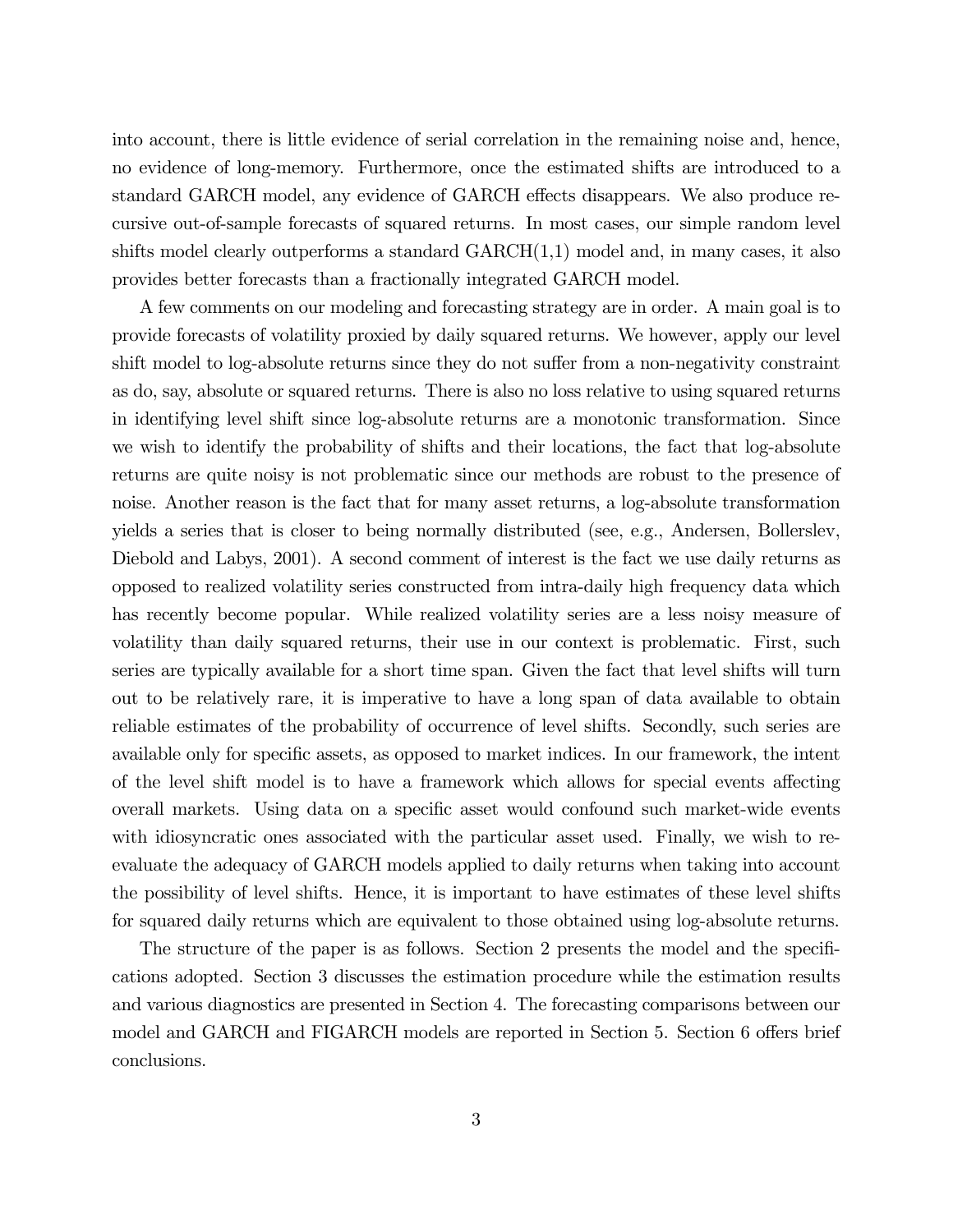into account, there is little evidence of serial correlation in the remaining noise and, hence, no evidence of long-memory. Furthermore, once the estimated shifts are introduced to a standard GARCH model, any evidence of GARCH effects disappears. We also produce recursive out-of-sample forecasts of squared returns. In most cases, our simple random level shifts model clearly outperforms a standard  $GARCH(1,1)$  model and, in many cases, it also provides better forecasts than a fractionally integrated GARCH model.

A few comments on our modeling and forecasting strategy are in order. A main goal is to provide forecasts of volatility proxied by daily squared returns. We however, apply our level shift model to log-absolute returns since they do not suffer from a non-negativity constraint as do, say, absolute or squared returns. There is also no loss relative to using squared returns in identifying level shift since log-absolute returns are a monotonic transformation. Since we wish to identify the probability of shifts and their locations, the fact that log-absolute returns are quite noisy is not problematic since our methods are robust to the presence of noise. Another reason is the fact that for many asset returns, a log-absolute transformation yields a series that is closer to being normally distributed (see, e.g., Andersen, Bollerslev, Diebold and Labys, 2001). A second comment of interest is the fact we use daily returns as opposed to realized volatility series constructed from intra-daily high frequency data which has recently become popular. While realized volatility series are a less noisy measure of volatility than daily squared returns, their use in our context is problematic. First, such series are typically available for a short time span. Given the fact that level shifts will turn out to be relatively rare, it is imperative to have a long span of data available to obtain reliable estimates of the probability of occurrence of level shifts. Secondly, such series are available only for specific assets, as opposed to market indices. In our framework, the intent of the level shift model is to have a framework which allows for special events affecting overall markets. Using data on a specific asset would confound such market-wide events with idiosyncratic ones associated with the particular asset used. Finally, we wish to reevaluate the adequacy of GARCH models applied to daily returns when taking into account the possibility of level shifts. Hence, it is important to have estimates of these level shifts for squared daily returns which are equivalent to those obtained using log-absolute returns.

The structure of the paper is as follows. Section 2 presents the model and the specifications adopted. Section 3 discusses the estimation procedure while the estimation results and various diagnostics are presented in Section 4. The forecasting comparisons between our model and GARCH and FIGARCH models are reported in Section 5. Section 6 offers brief conclusions.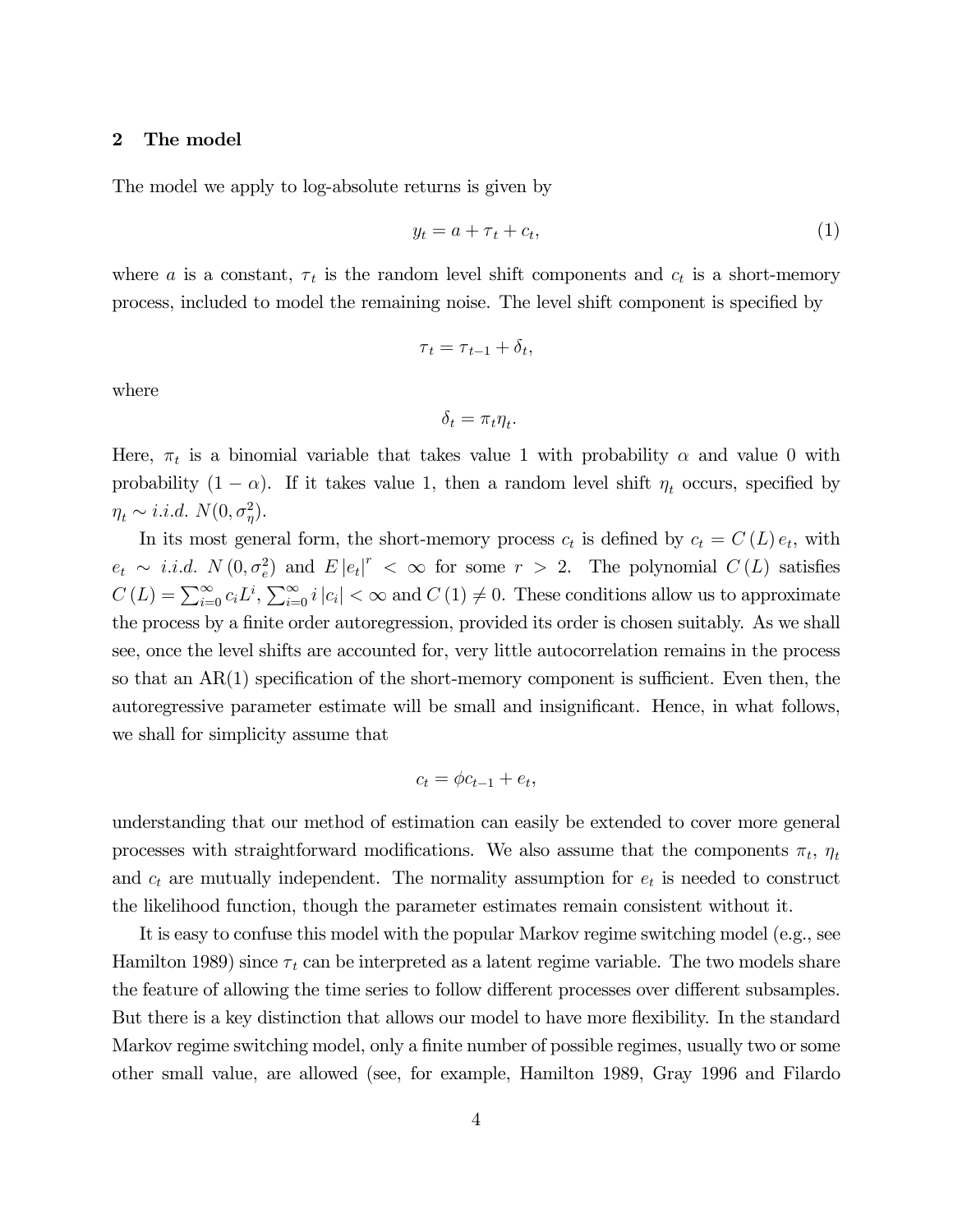#### 2 The model

The model we apply to log-absolute returns is given by

$$
y_t = a + \tau_t + c_t,\tag{1}
$$

where a is a constant,  $\tau_t$  is the random level shift components and  $c_t$  is a short-memory process, included to model the remaining noise. The level shift component is specified by

$$
\tau_t = \tau_{t-1} + \delta_t,
$$

where

$$
\delta_t = \pi_t \eta_t.
$$

Here,  $\pi_t$  is a binomial variable that takes value 1 with probability  $\alpha$  and value 0 with probability  $(1 - \alpha)$ . If it takes value 1, then a random level shift  $\eta_t$  occurs, specified by  $\eta_t \sim i.i.d. N(0, \sigma_\eta^2).$ 

In its most general form, the short-memory process  $c_t$  is defined by  $c_t = C(L) e_t$ , with  $e_t \sim i.i.d. N(0, \sigma_e^2)$  and  $E |e_t|^r < \infty$  for some  $r > 2$ . The polynomial  $C(L)$  satisfies  $C(L) = \sum_{i=0}^{\infty} c_i L^i$ ,  $\sum_{i=0}^{\infty} i |c_i| < \infty$  and  $C(1) \neq 0$ . These conditions allow us to approximate the process by a finite order autoregression, provided its order is chosen suitably. As we shall see, once the level shifts are accounted for, very little autocorrelation remains in the process so that an AR(1) specification of the short-memory component is sufficient. Even then, the autoregressive parameter estimate will be small and insignificant. Hence, in what follows, we shall for simplicity assume that

$$
c_t = \phi c_{t-1} + e_t,
$$

understanding that our method of estimation can easily be extended to cover more general processes with straightforward modifications. We also assume that the components  $\pi_t$ ,  $\eta_t$ and  $c_t$  are mutually independent. The normality assumption for  $e_t$  is needed to construct the likelihood function, though the parameter estimates remain consistent without it.

It is easy to confuse this model with the popular Markov regime switching model (e.g., see Hamilton 1989) since  $\tau_t$  can be interpreted as a latent regime variable. The two models share the feature of allowing the time series to follow different processes over different subsamples. But there is a key distinction that allows our model to have more flexibility. In the standard Markov regime switching model, only a finite number of possible regimes, usually two or some other small value, are allowed (see, for example, Hamilton 1989, Gray 1996 and Filardo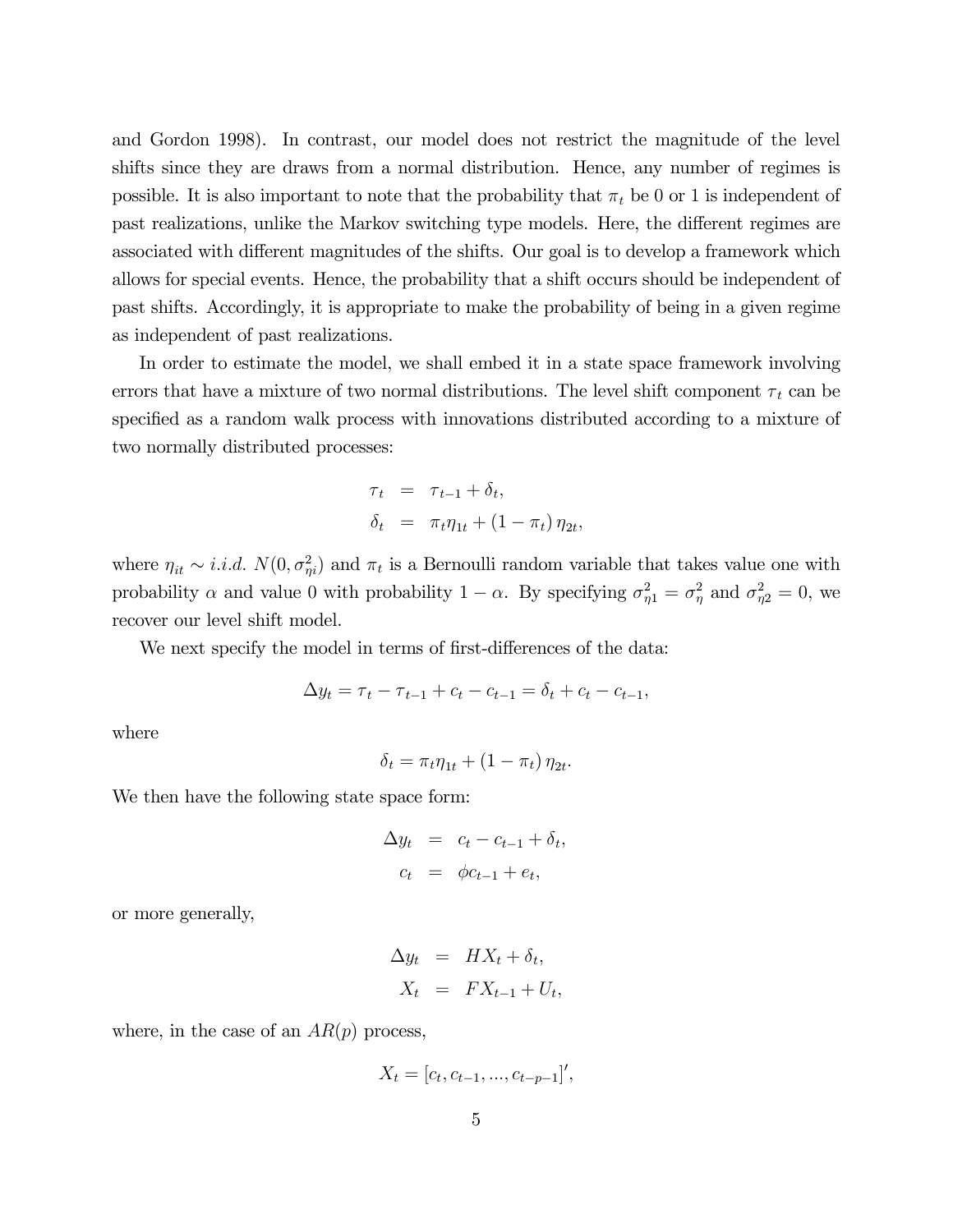and Gordon 1998). In contrast, our model does not restrict the magnitude of the level shifts since they are draws from a normal distribution. Hence, any number of regimes is possible. It is also important to note that the probability that  $\pi_t$  be 0 or 1 is independent of past realizations, unlike the Markov switching type models. Here, the different regimes are associated with different magnitudes of the shifts. Our goal is to develop a framework which allows for special events. Hence, the probability that a shift occurs should be independent of past shifts. Accordingly, it is appropriate to make the probability of being in a given regime as independent of past realizations.

In order to estimate the model, we shall embed it in a state space framework involving errors that have a mixture of two normal distributions. The level shift component  $\tau_t$  can be specified as a random walk process with innovations distributed according to a mixture of two normally distributed processes:

$$
\tau_t = \tau_{t-1} + \delta_t,
$$
  
\n
$$
\delta_t = \pi_t \eta_{1t} + (1 - \pi_t) \eta_{2t},
$$

where  $\eta_{it} \sim i.i.d. N(0, \sigma_{\eta i}^2)$  and  $\pi_t$  is a Bernoulli random variable that takes value one with probability  $\alpha$  and value 0 with probability  $1 - \alpha$ . By specifying  $\sigma_{\eta_1}^2 = \sigma_{\eta_1}^2$  and  $\sigma_{\eta_2}^2 = 0$ , we recover our level shift model.

We next specify the model in terms of first-differences of the data:

$$
\Delta y_t = \tau_t - \tau_{t-1} + c_t - c_{t-1} = \delta_t + c_t - c_{t-1},
$$

where

$$
\delta_t = \pi_t \eta_{1t} + (1 - \pi_t) \eta_{2t}.
$$

We then have the following state space form:

$$
\Delta y_t = c_t - c_{t-1} + \delta_t,
$$
  
\n
$$
c_t = \phi c_{t-1} + e_t,
$$

or more generally,

$$
\Delta y_t = H X_t + \delta_t,
$$
  

$$
X_t = F X_{t-1} + U_t,
$$

where, in the case of an  $AR(p)$  process,

$$
X_t = [c_t, c_{t-1}, ..., c_{t-p-1}],
$$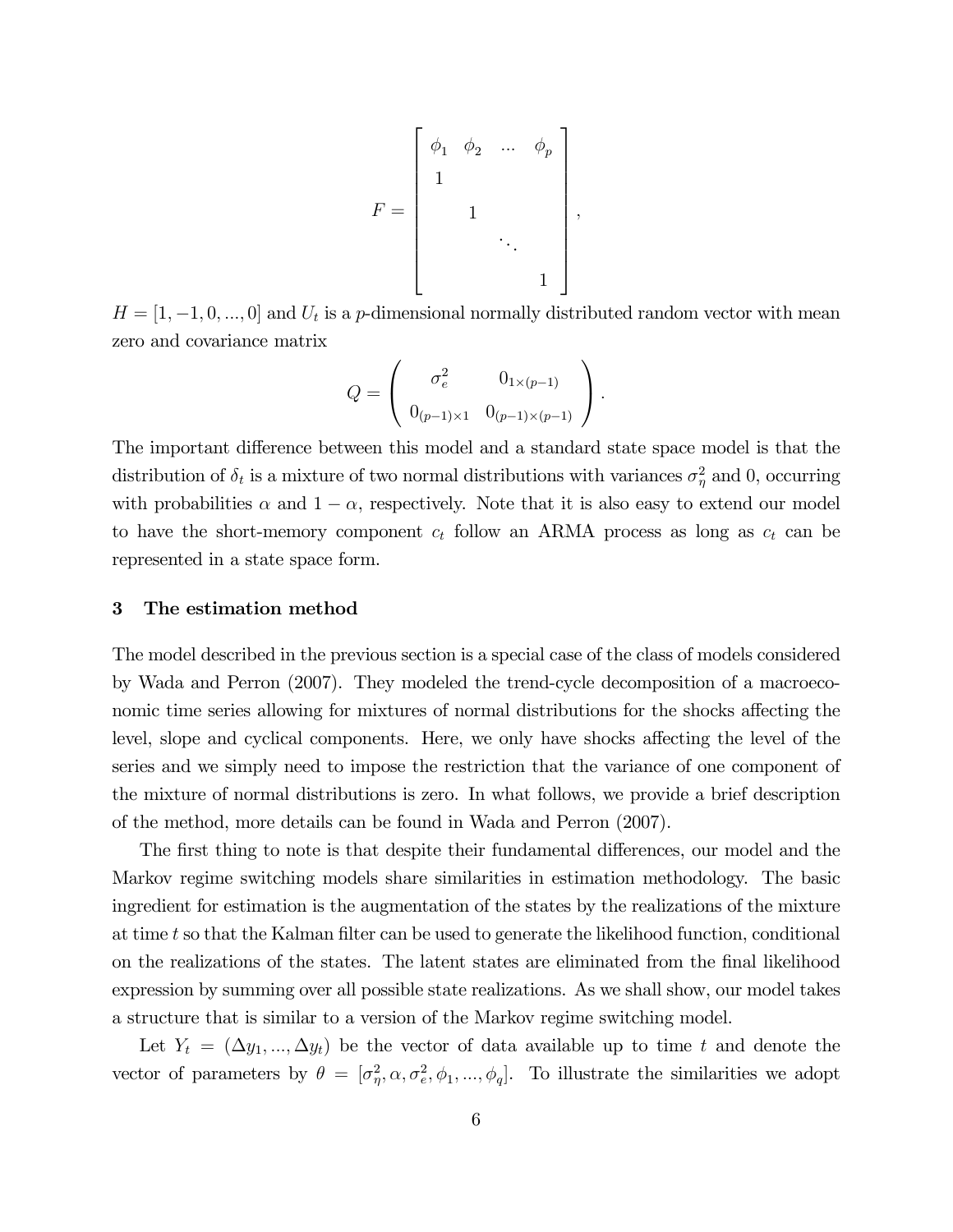$$
F = \left[ \begin{array}{cccc} \phi_1 & \phi_2 & \ldots & \phi_p \\ & & \\ 1 & & & \\ & & 1 & & \\ & & & \ddots & \\ & & & & 1 \end{array} \right],
$$

 $H = [1, -1, 0, ..., 0]$  and  $U_t$  is a p-dimensional normally distributed random vector with mean zero and covariance matrix

$$
Q = \begin{pmatrix} \sigma_e^2 & 0_{1 \times (p-1)} \\ 0_{(p-1) \times 1} & 0_{(p-1) \times (p-1)} \end{pmatrix}.
$$

The important difference between this model and a standard state space model is that the distribution of  $\delta_t$  is a mixture of two normal distributions with variances  $\sigma_{\eta}^2$  and 0, occurring with probabilities  $\alpha$  and  $1 - \alpha$ , respectively. Note that it is also easy to extend our model to have the short-memory component  $c_t$  follow an ARMA process as long as  $c_t$  can be represented in a state space form.

#### 3 The estimation method

The model described in the previous section is a special case of the class of models considered by Wada and Perron (2007). They modeled the trend-cycle decomposition of a macroeconomic time series allowing for mixtures of normal distributions for the shocks affecting the level, slope and cyclical components. Here, we only have shocks affecting the level of the series and we simply need to impose the restriction that the variance of one component of the mixture of normal distributions is zero. In what follows, we provide a brief description of the method, more details can be found in Wada and Perron (2007).

The first thing to note is that despite their fundamental differences, our model and the Markov regime switching models share similarities in estimation methodology. The basic ingredient for estimation is the augmentation of the states by the realizations of the mixture at time t so that the Kalman filter can be used to generate the likelihood function, conditional on the realizations of the states. The latent states are eliminated from the final likelihood expression by summing over all possible state realizations. As we shall show, our model takes a structure that is similar to a version of the Markov regime switching model.

Let  $Y_t = (\Delta y_1, ..., \Delta y_t)$  be the vector of data available up to time t and denote the vector of parameters by  $\theta = [\sigma_{\eta}^2, \alpha, \sigma_{e}^2, \phi_1, ..., \phi_q].$  To illustrate the similarities we adopt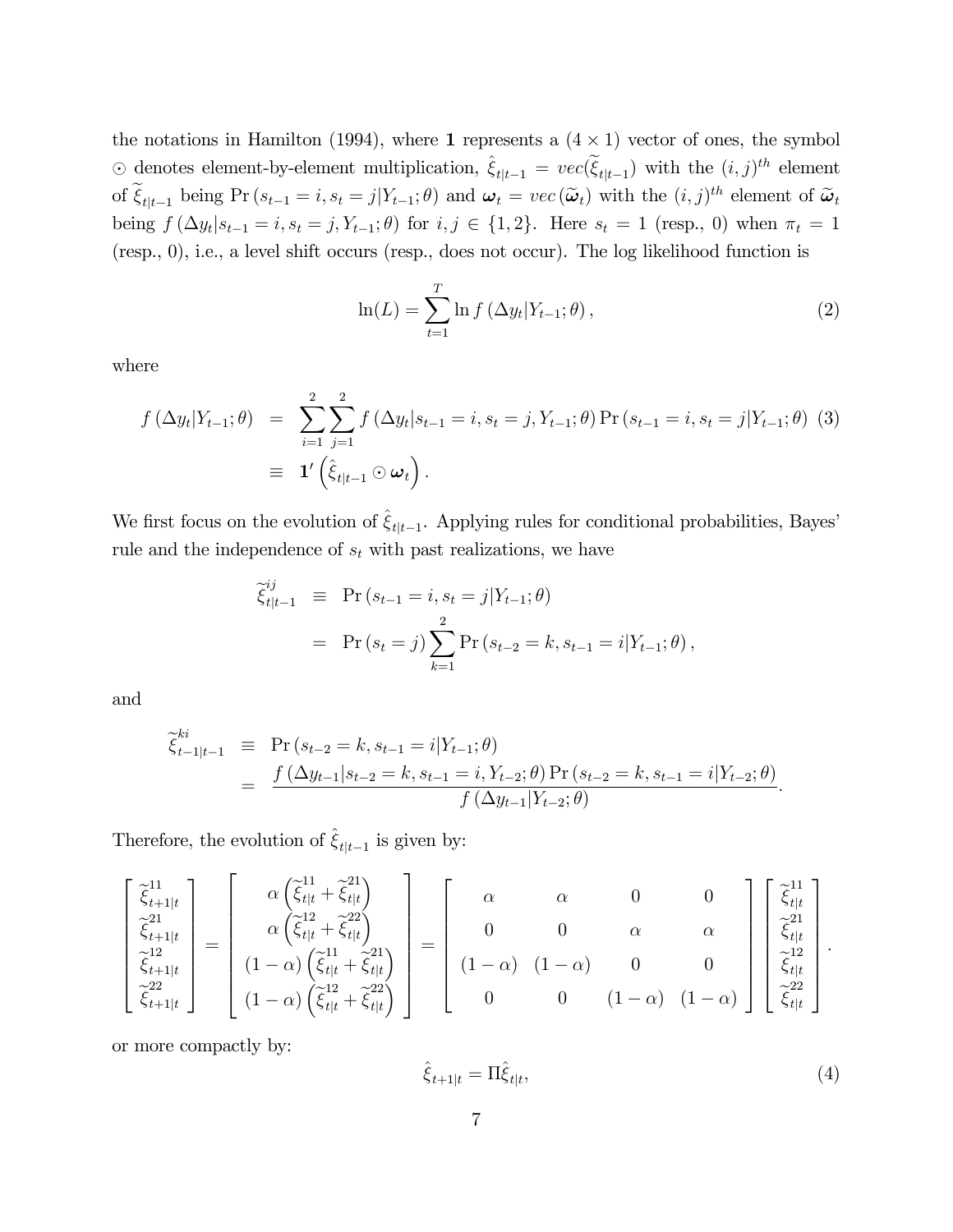the notations in Hamilton (1994), where 1 represents a  $(4 \times 1)$  vector of ones, the symbol ⊙ denotes element-by-element multiplication,  $\hat{\xi}_{t|t-1} = vec(\tilde{\xi}_{t|t-1})$  with the  $(i, j)^{th}$  element of  $\widetilde{\xi}_{t|t-1}$  being Pr  $(s_{t-1} = i, s_t = j|Y_{t-1}; \theta)$  and  $\boldsymbol{\omega}_t = vec(\widetilde{\boldsymbol{\omega}}_t)$  with the  $(i, j)^{th}$  element of  $\widetilde{\boldsymbol{\omega}}_t$ being  $f(\Delta y_t|s_{t-1} = i, s_t = j, Y_{t-1}; \theta)$  for  $i, j \in \{1, 2\}$ . Here  $s_t = 1$  (resp., 0) when  $\pi_t = 1$ (resp., 0), i.e., a level shift occurs (resp., does not occur). The log likelihood function is

$$
\ln(L) = \sum_{t=1}^{T} \ln f(\Delta y_t | Y_{t-1}; \theta), \qquad (2)
$$

where

$$
f(\Delta y_t | Y_{t-1}; \theta) = \sum_{i=1}^2 \sum_{j=1}^2 f(\Delta y_t | s_{t-1} = i, s_t = j, Y_{t-1}; \theta) \Pr(s_{t-1} = i, s_t = j | Y_{t-1}; \theta)
$$
(3)  

$$
\equiv \mathbf{1}' \left( \hat{\xi}_{t|t-1} \odot \boldsymbol{\omega}_t \right).
$$

We first focus on the evolution of  $\hat{\xi}_{t|t-1}$ . Applying rules for conditional probabilities, Bayes' rule and the independence of  $s_t$  with past realizations, we have

$$
\widetilde{\xi}_{t|t-1}^{ij} \equiv \Pr(s_{t-1} = i, s_t = j | Y_{t-1}; \theta)
$$
  
=  $\Pr(s_t = j) \sum_{k=1}^{2} \Pr(s_{t-2} = k, s_{t-1} = i | Y_{t-1}; \theta),$ 

and

$$
\widetilde{\xi}_{t-1|t-1}^{ki} \equiv \Pr(s_{t-2} = k, s_{t-1} = i | Y_{t-1}; \theta)
$$
  
= 
$$
\frac{f(\Delta y_{t-1}|s_{t-2} = k, s_{t-1} = i, Y_{t-2}; \theta) \Pr(s_{t-2} = k, s_{t-1} = i | Y_{t-2}; \theta)}{f(\Delta y_{t-1}|Y_{t-2}; \theta)}.
$$

Therefore, the evolution of  $\hat{\xi}_{t|t-1}$  is given by:

$$
\begin{bmatrix}\n\tilde{\xi}_{t+1|t}^{11} \\
\tilde{\xi}_{t+1|t}^{21} \\
\tilde{\xi}_{t+1|t}^{12} \\
\tilde{\xi}_{t+1|t}^{22} \\
\tilde{\xi}_{t+1|t}^{22} \\
\tilde{\xi}_{t+1|t}^{22} \\
\tilde{\xi}_{t+1|t}^{22} \\
\end{bmatrix} = \begin{bmatrix}\n\alpha \begin{pmatrix}\n\tilde{\xi}_{t|t}^{11} + \tilde{\xi}_{t|t}^{21} \\
\alpha \begin{pmatrix}\n\tilde{\xi}_{t|t}^{12} + \tilde{\xi}_{t|t}^{22} \\
0 & 0 \\
0 & 0\n\end{pmatrix} \\
(1-\alpha) \begin{pmatrix}\n\tilde{\xi}_{t|t}^{11} + \tilde{\xi}_{t|t}^{21} \\
(1-\alpha) \begin{pmatrix}\n\tilde{\xi}_{t|t}^{12} + \tilde{\xi}_{t|t}^{22} \\
0 & 0\n\end{pmatrix}\n\end{bmatrix} = \begin{bmatrix}\n\alpha & \alpha & 0 & 0 \\
0 & \alpha & \alpha & 0 \\
(1-\alpha) & (1-\alpha) & 0 & 0 \\
0 & 0 & (1-\alpha) & (1-\alpha)\n\end{bmatrix} \begin{bmatrix}\n\tilde{\xi}_{t|t}^{11} \\
\tilde{\xi}_{t|t}^{21} \\
\tilde{\xi}_{t|t}^{22} \\
\tilde{\xi}_{t|t}^{22} \\
\tilde{\xi}_{t|t}^{22}\n\end{bmatrix}.
$$

or more compactly by:

$$
\hat{\xi}_{t+1|t} = \Pi \hat{\xi}_{t|t},\tag{4}
$$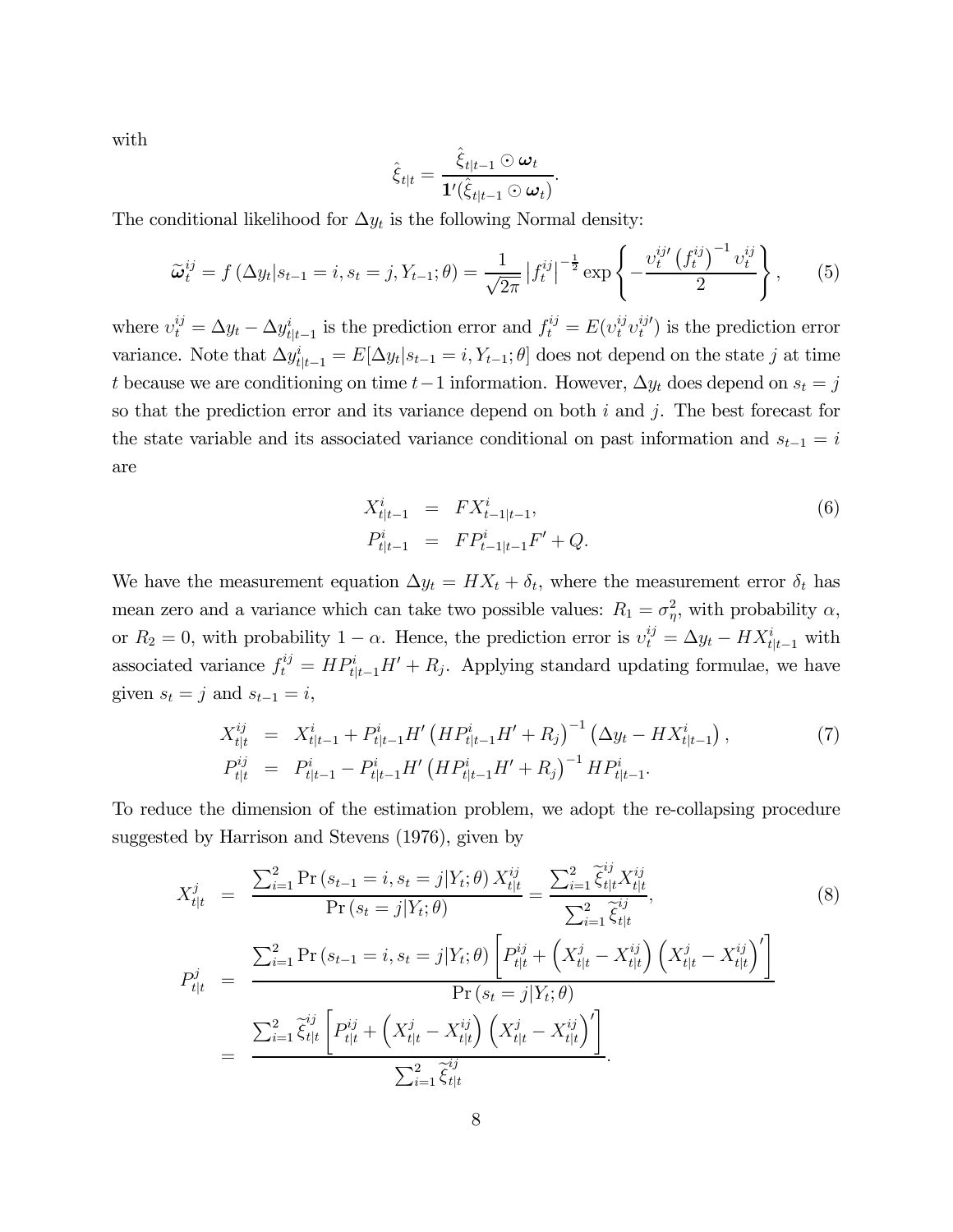with

$$
\hat{\xi}_{t|t} = \frac{\hat{\xi}_{t|t-1} \odot \omega_t}{\mathbf{1}'(\hat{\xi}_{t|t-1} \odot \omega_t)}.
$$

The conditional likelihood for  $\Delta y_t$  is the following Normal density:

$$
\widetilde{\omega}_{t}^{ij} = f\left(\Delta y_{t}|s_{t-1} = i, s_{t} = j, Y_{t-1}; \theta\right) = \frac{1}{\sqrt{2\pi}} \left|f_{t}^{ij}\right|^{-\frac{1}{2}} \exp\left\{-\frac{v_{t}^{ij\prime}\left(f_{t}^{ij}\right)^{-1}v_{t}^{ij}}{2}\right\},\tag{5}
$$

where  $v_t^{ij} = \Delta y_t - \Delta y_{t|t-1}^i$  is the prediction error and  $f_t^{ij} = E(v_t^{ij} v_t^{ij})$  is the prediction error variance. Note that  $\Delta y_{t|t-1}^i = E[\Delta y_t | s_{t-1} = i, Y_{t-1}; \theta]$  does not depend on the state j at time t because we are conditioning on time  $t-1$  information. However,  $\Delta y_t$  does depend on  $s_t = j$ so that the prediction error and its variance depend on both  $i$  and  $j$ . The best forecast for the state variable and its associated variance conditional on past information and  $s_{t-1} = i$ are

$$
X_{t|t-1}^i = FX_{t-1|t-1}^i,
$$
  
\n
$$
P_{t|t-1}^i = FP_{t-1|t-1}^i F' + Q.
$$
\n(6)

We have the measurement equation  $\Delta y_t = H X_t + \delta_t$ , where the measurement error  $\delta_t$  has mean zero and a variance which can take two possible values:  $R_1 = \sigma_{\eta}^2$ , with probability  $\alpha$ , or  $R_2 = 0$ , with probability  $1 - \alpha$ . Hence, the prediction error is  $v_t^{ij} = \Delta y_t - H X_{t|t-1}^i$  with associated variance  $f_t^{ij} = HP_{t|t-1}^i H' + R_j$ . Applying standard updating formulae, we have given  $s_t = j$  and  $s_{t-1} = i$ ,

$$
X_{t|t}^{ij} = X_{t|t-1}^i + P_{t|t-1}^i H' (H P_{t|t-1}^i H' + R_j)^{-1} (\Delta y_t - H X_{t|t-1}^i),
$$
  
\n
$$
P_{t|t}^{ij} = P_{t|t-1}^i - P_{t|t-1}^i H' (H P_{t|t-1}^i H' + R_j)^{-1} H P_{t|t-1}^i.
$$
\n(7)

To reduce the dimension of the estimation problem, we adopt the re-collapsing procedure suggested by Harrison and Stevens (1976), given by

$$
X_{t|t}^{j} = \frac{\sum_{i=1}^{2} \Pr(s_{t-1} = i, s_{t} = j | Y_{t}; \theta) X_{t|t}^{ij}}{\Pr(s_{t} = j | Y_{t}; \theta)} = \frac{\sum_{i=1}^{2} \tilde{\xi}_{t|t}^{ij} X_{t|t}^{ij}}{\sum_{i=1}^{2} \tilde{\xi}_{t|t}^{ij}},
$$
\n
$$
P_{t|t}^{j} = \frac{\sum_{i=1}^{2} \Pr(s_{t-1} = i, s_{t} = j | Y_{t}; \theta) \left[ P_{t|t}^{ij} + \left( X_{t|t}^{j} - X_{t|t}^{ij} \right) \left( X_{t|t}^{j} - X_{t|t}^{ij} \right)' \right]}{\Pr(s_{t} = j | Y_{t}; \theta)}
$$
\n
$$
= \frac{\sum_{i=1}^{2} \tilde{\xi}_{t|t}^{ij} \left[ P_{t|t}^{ij} + \left( X_{t|t}^{j} - X_{t|t}^{ij} \right) \left( X_{t|t}^{j} - X_{t|t}^{ij} \right)' \right]}{\sum_{i=1}^{2} \tilde{\xi}_{t|t}^{ij}}.
$$
\n(8)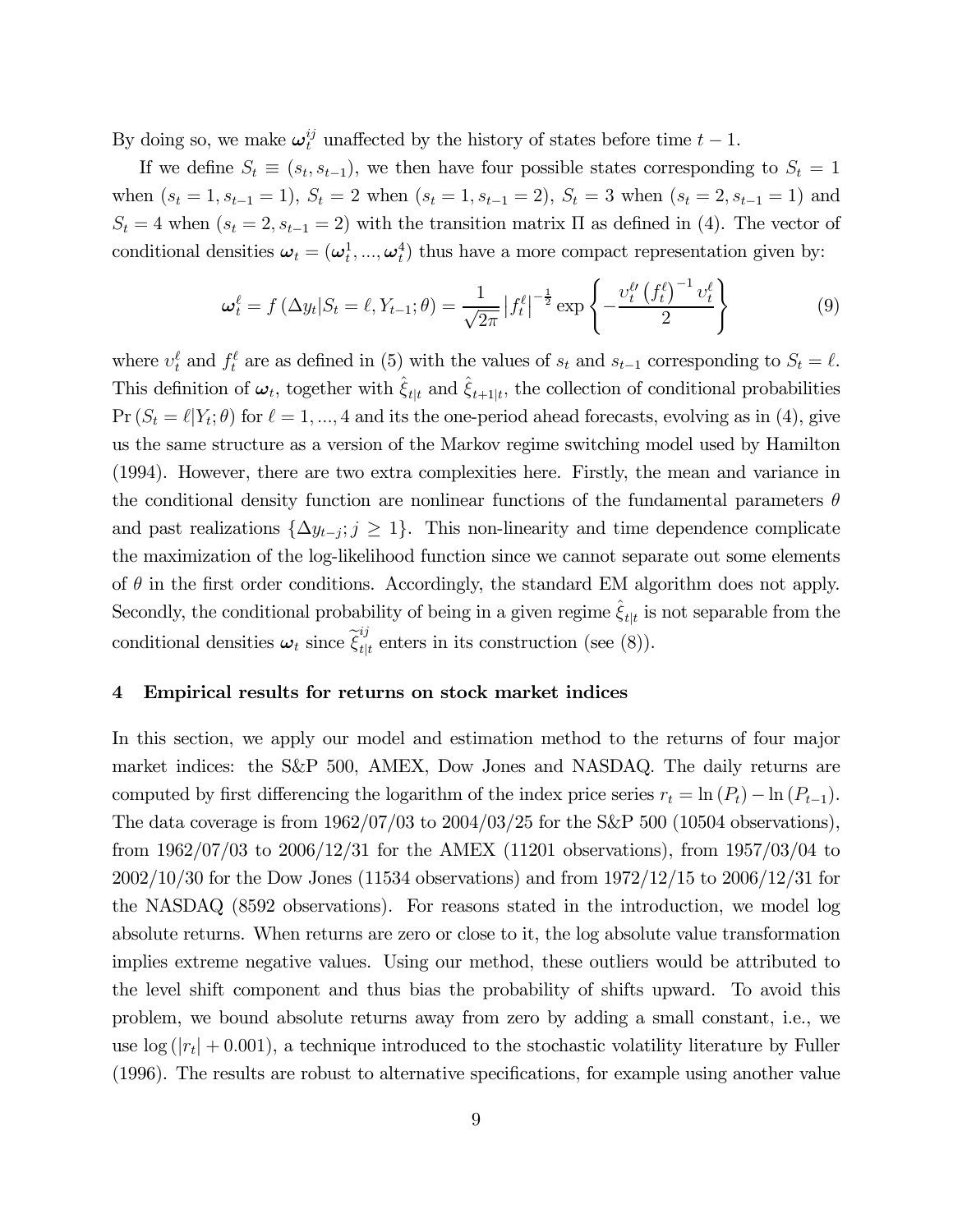By doing so, we make  $\boldsymbol{\omega}_t^{ij}$  unaffected by the history of states before time  $t - 1$ .

If we define  $S_t \equiv (s_t, s_{t-1})$ , we then have four possible states corresponding to  $S_t = 1$ when  $(s_t = 1, s_{t-1} = 1)$ ,  $S_t = 2$  when  $(s_t = 1, s_{t-1} = 2)$ ,  $S_t = 3$  when  $(s_t = 2, s_{t-1} = 1)$  and  $S_t = 4$  when  $(s_t = 2, s_{t-1} = 2)$  with the transition matrix  $\Pi$  as defined in (4). The vector of conditional densities  $\boldsymbol{\omega}_t = (\omega_t^1, ..., \omega_t^4)$  thus have a more compact representation given by:

$$
\omega_t^{\ell} = f\left(\Delta y_t | S_t = \ell, Y_{t-1}; \theta\right) = \frac{1}{\sqrt{2\pi}} \left| f_t^{\ell} \right|^{-\frac{1}{2}} \exp\left\{-\frac{v_t^{\ell\ell} \left(f_t^{\ell}\right)^{-1} v_t^{\ell}}{2}\right\} \tag{9}
$$

where  $v_t^{\ell}$  and  $f_t^{\ell}$  are as defined in (5) with the values of  $s_t$  and  $s_{t-1}$  corresponding to  $S_t = \ell$ . This definition of  $\omega_t$ , together with  $\hat{\xi}_{t|t}$  and  $\hat{\xi}_{t+1|t}$ , the collection of conditional probabilities  $Pr(S_t = \ell | Y_t; \theta)$  for  $\ell = 1, ..., 4$  and its the one-period ahead forecasts, evolving as in (4), give us the same structure as a version of the Markov regime switching model used by Hamilton (1994). However, there are two extra complexities here. Firstly, the mean and variance in the conditional density function are nonlinear functions of the fundamental parameters  $\theta$ and past realizations  $\{\Delta y_{t-j}; j \geq 1\}$ . This non-linearity and time dependence complicate the maximization of the log-likelihood function since we cannot separate out some elements of  $\theta$  in the first order conditions. Accordingly, the standard EM algorithm does not apply. Secondly, the conditional probability of being in a given regime  $\hat{\xi}_{t|t}$  is not separable from the conditional densities  $\omega_t$  since  $\tilde{\xi}_{t|t}^{ij}$  enters in its construction (see (8)).

#### 4 Empirical results for returns on stock market indices

In this section, we apply our model and estimation method to the returns of four major market indices: the S&P 500, AMEX, Dow Jones and NASDAQ. The daily returns are computed by first differencing the logarithm of the index price series  $r_t = \ln(P_t) - \ln(P_{t-1})$ . The data coverage is from 1962/07/03 to 2004/03/25 for the S&P 500 (10504 observations), from 1962/07/03 to 2006/12/31 for the AMEX (11201 observations), from 1957/03/04 to 2002/10/30 for the Dow Jones (11534 observations) and from 1972/12/15 to 2006/12/31 for the NASDAQ (8592 observations). For reasons stated in the introduction, we model log absolute returns. When returns are zero or close to it, the log absolute value transformation implies extreme negative values. Using our method, these outliers would be attributed to the level shift component and thus bias the probability of shifts upward. To avoid this problem, we bound absolute returns away from zero by adding a small constant, i.e., we use  $\log(|r_t| + 0.001)$ , a technique introduced to the stochastic volatility literature by Fuller (1996). The results are robust to alternative specifications, for example using another value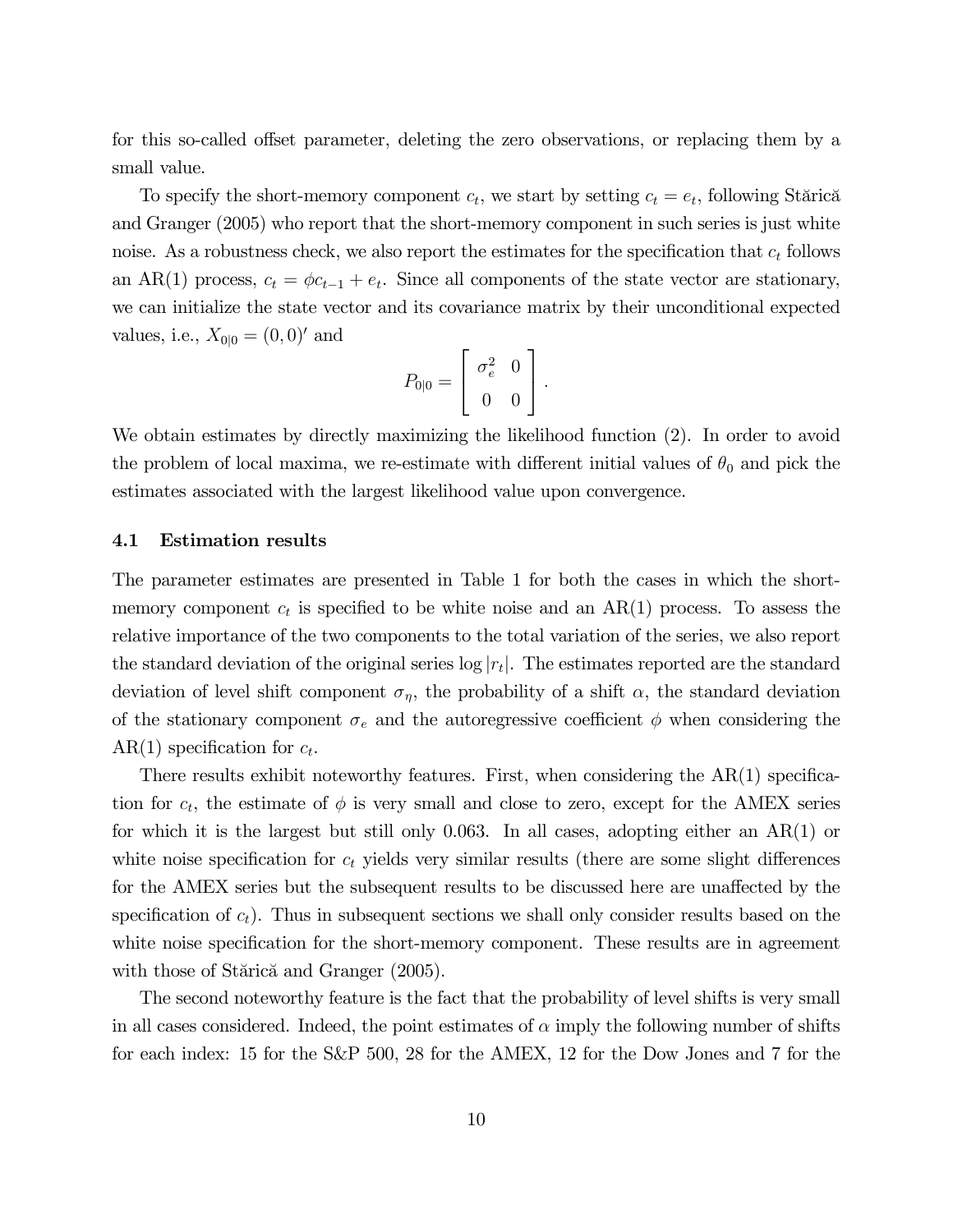for this so-called offset parameter, deleting the zero observations, or replacing them by a small value.

To specify the short-memory component  $c_t$ , we start by setting  $c_t = e_t$ , following Starica and Granger (2005) who report that the short-memory component in such series is just white noise. As a robustness check, we also report the estimates for the specification that  $c_t$  follows an AR(1) process,  $c_t = \phi c_{t-1} + e_t$ . Since all components of the state vector are stationary, we can initialize the state vector and its covariance matrix by their unconditional expected values, i.e.,  $X_{0|0} = (0,0)'$  and

$$
P_{0|0} = \left[ \begin{array}{cc} \sigma_e^2 & 0 \\ 0 & 0 \end{array} \right].
$$

We obtain estimates by directly maximizing the likelihood function (2). In order to avoid the problem of local maxima, we re-estimate with different initial values of  $\theta_0$  and pick the estimates associated with the largest likelihood value upon convergence.

#### 4.1 Estimation results

The parameter estimates are presented in Table 1 for both the cases in which the shortmemory component  $c_t$  is specified to be white noise and an AR(1) process. To assess the relative importance of the two components to the total variation of the series, we also report the standard deviation of the original series  $log |r_t|$ . The estimates reported are the standard deviation of level shift component  $\sigma_{\eta}$ , the probability of a shift  $\alpha$ , the standard deviation of the stationary component  $\sigma_e$  and the autoregressive coefficient  $\phi$  when considering the  $AR(1)$  specification for  $c_t$ .

There results exhibit noteworthy features. First, when considering the AR(1) specification for  $c_t$ , the estimate of  $\phi$  is very small and close to zero, except for the AMEX series for which it is the largest but still only 0.063. In all cases, adopting either an AR(1) or white noise specification for  $c_t$  yields very similar results (there are some slight differences for the AMEX series but the subsequent results to be discussed here are unaffected by the specification of  $c_t$ ). Thus in subsequent sections we shall only consider results based on the white noise specification for the short-memory component. These results are in agreement with those of Starica and Granger  $(2005)$ .

The second noteworthy feature is the fact that the probability of level shifts is very small in all cases considered. Indeed, the point estimates of  $\alpha$  imply the following number of shifts for each index: 15 for the S&P 500, 28 for the AMEX, 12 for the Dow Jones and 7 for the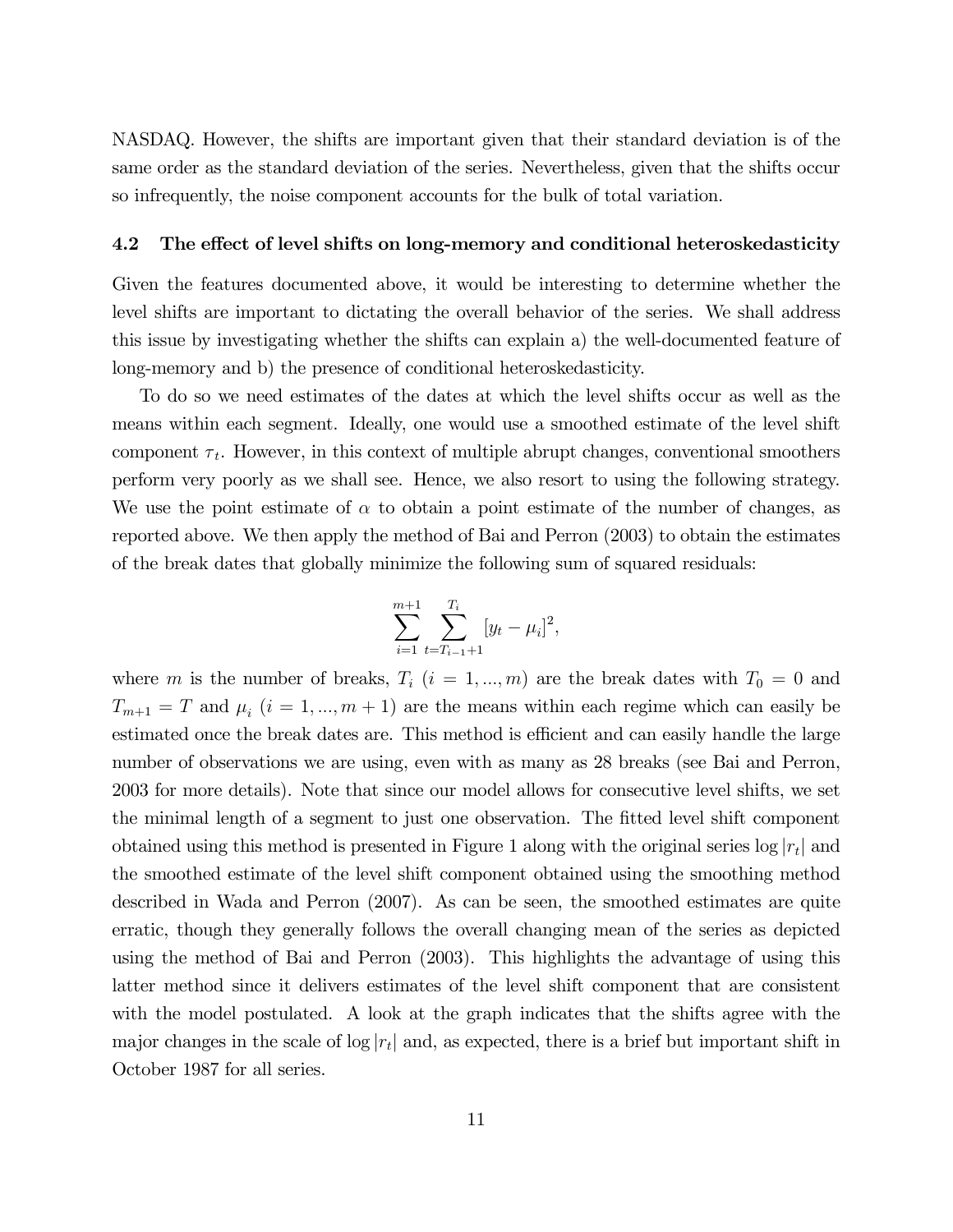NASDAQ. However, the shifts are important given that their standard deviation is of the same order as the standard deviation of the series. Nevertheless, given that the shifts occur so infrequently, the noise component accounts for the bulk of total variation.

#### 4.2 The effect of level shifts on long-memory and conditional heteroskedasticity

Given the features documented above, it would be interesting to determine whether the level shifts are important to dictating the overall behavior of the series. We shall address this issue by investigating whether the shifts can explain a) the well-documented feature of long-memory and b) the presence of conditional heteroskedasticity.

To do so we need estimates of the dates at which the level shifts occur as well as the means within each segment. Ideally, one would use a smoothed estimate of the level shift component  $\tau_t$ . However, in this context of multiple abrupt changes, conventional smoothers perform very poorly as we shall see. Hence, we also resort to using the following strategy. We use the point estimate of  $\alpha$  to obtain a point estimate of the number of changes, as reported above. We then apply the method of Bai and Perron (2003) to obtain the estimates of the break dates that globally minimize the following sum of squared residuals:

$$
\sum_{i=1}^{m+1} \sum_{t=T_{i-1}+1}^{T_i} [y_t - \mu_i]^2,
$$

where m is the number of breaks,  $T_i$  ( $i = 1, ..., m$ ) are the break dates with  $T_0 = 0$  and  $T_{m+1} = T$  and  $\mu_i$   $(i = 1, ..., m+1)$  are the means within each regime which can easily be estimated once the break dates are. This method is efficient and can easily handle the large number of observations we are using, even with as many as 28 breaks (see Bai and Perron, 2003 for more details). Note that since our model allows for consecutive level shifts, we set the minimal length of a segment to just one observation. The fitted level shift component obtained using this method is presented in Figure 1 along with the original series  $log |r_t|$  and the smoothed estimate of the level shift component obtained using the smoothing method described in Wada and Perron (2007). As can be seen, the smoothed estimates are quite erratic, though they generally follows the overall changing mean of the series as depicted using the method of Bai and Perron (2003). This highlights the advantage of using this latter method since it delivers estimates of the level shift component that are consistent with the model postulated. A look at the graph indicates that the shifts agree with the major changes in the scale of  $log |r_t|$  and, as expected, there is a brief but important shift in October 1987 for all series.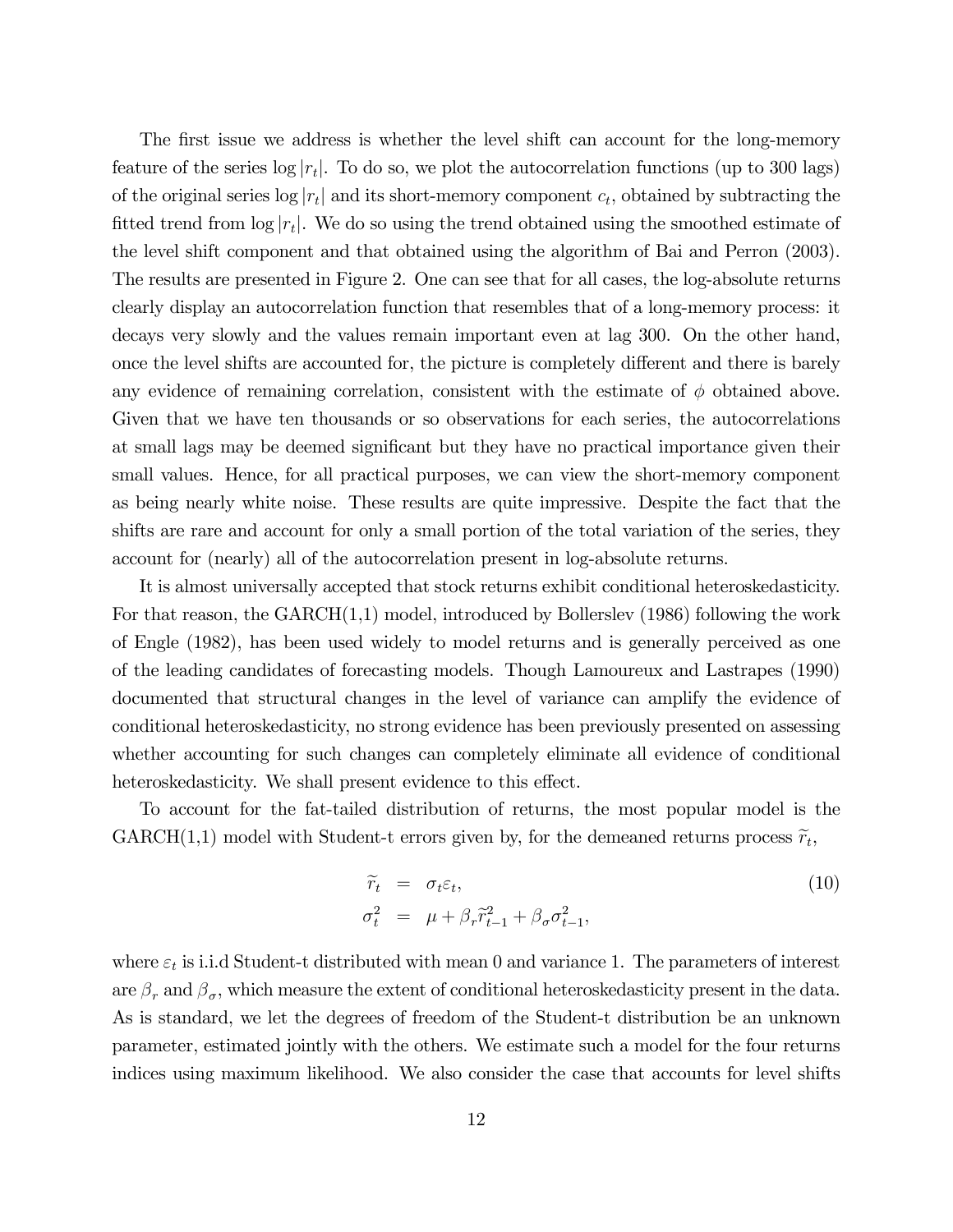The first issue we address is whether the level shift can account for the long-memory feature of the series  $log |r_t|$ . To do so, we plot the autocorrelation functions (up to 300 lags) of the original series  $log |r_t|$  and its short-memory component  $c_t$ , obtained by subtracting the fitted trend from  $\log |r_t|$ . We do so using the trend obtained using the smoothed estimate of the level shift component and that obtained using the algorithm of Bai and Perron (2003). The results are presented in Figure 2. One can see that for all cases, the log-absolute returns clearly display an autocorrelation function that resembles that of a long-memory process: it decays very slowly and the values remain important even at lag 300. On the other hand, once the level shifts are accounted for, the picture is completely different and there is barely any evidence of remaining correlation, consistent with the estimate of  $\phi$  obtained above. Given that we have ten thousands or so observations for each series, the autocorrelations at small lags may be deemed significant but they have no practical importance given their small values. Hence, for all practical purposes, we can view the short-memory component as being nearly white noise. These results are quite impressive. Despite the fact that the shifts are rare and account for only a small portion of the total variation of the series, they account for (nearly) all of the autocorrelation present in log-absolute returns.

It is almost universally accepted that stock returns exhibit conditional heteroskedasticity. For that reason, the GARCH(1,1) model, introduced by Bollerslev (1986) following the work of Engle (1982), has been used widely to model returns and is generally perceived as one of the leading candidates of forecasting models. Though Lamoureux and Lastrapes (1990) documented that structural changes in the level of variance can amplify the evidence of conditional heteroskedasticity, no strong evidence has been previously presented on assessing whether accounting for such changes can completely eliminate all evidence of conditional heteroskedasticity. We shall present evidence to this effect.

To account for the fat-tailed distribution of returns, the most popular model is the GARCH(1,1) model with Student-t errors given by, for the demeaned returns process  $\tilde{r}_t$ ,

$$
\begin{aligned}\n\widetilde{r}_t &= \sigma_t \varepsilon_t, \\
\sigma_t^2 &= \mu + \beta_r \widetilde{r}_{t-1}^2 + \beta_\sigma \sigma_{t-1}^2,\n\end{aligned} \tag{10}
$$

where  $\varepsilon_t$  is i.i.d Student-t distributed with mean 0 and variance 1. The parameters of interest are  $\beta_r$  and  $\beta_\sigma$ , which measure the extent of conditional heteroskedasticity present in the data. As is standard, we let the degrees of freedom of the Student-t distribution be an unknown parameter, estimated jointly with the others. We estimate such a model for the four returns indices using maximum likelihood. We also consider the case that accounts for level shifts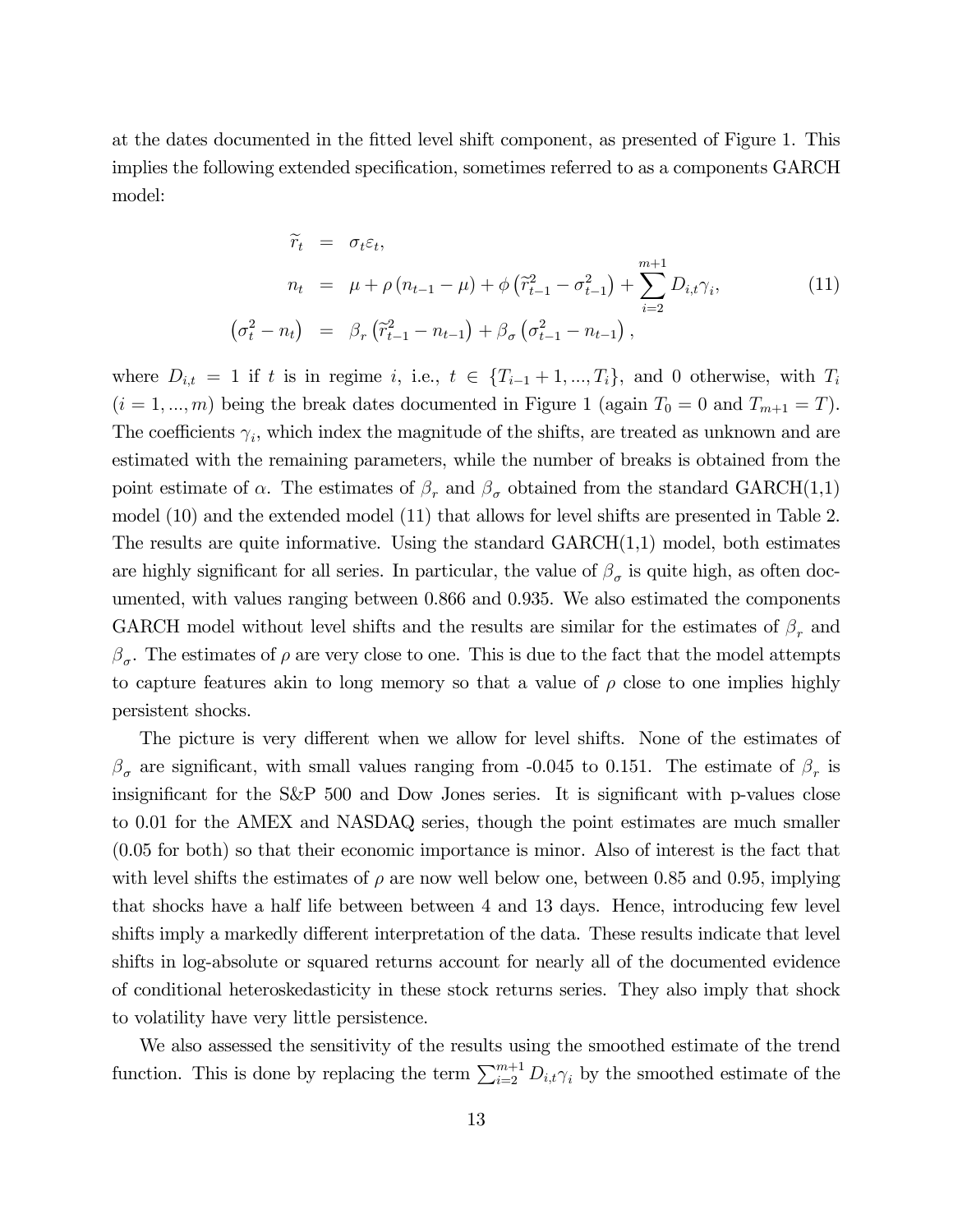at the dates documented in the fitted level shift component, as presented of Figure 1. This implies the following extended specification, sometimes referred to as a components GARCH model:

$$
\widetilde{r}_t = \sigma_t \varepsilon_t,
$$
\n
$$
n_t = \mu + \rho (n_{t-1} - \mu) + \phi (\widetilde{r}_{t-1}^2 - \sigma_{t-1}^2) + \sum_{i=2}^{m+1} D_{i,t} \gamma_i,
$$
\n
$$
(\sigma_t^2 - n_t) = \beta_r (\widetilde{r}_{t-1}^2 - n_{t-1}) + \beta_\sigma (\sigma_{t-1}^2 - n_{t-1}),
$$
\n(11)

where  $D_{i,t} = 1$  if t is in regime i, i.e.,  $t \in \{T_{i-1}+1, ..., T_i\}$ , and 0 otherwise, with  $T_i$  $(i = 1, ..., m)$  being the break dates documented in Figure 1 (again  $T_0 = 0$  and  $T_{m+1} = T$ ). The coefficients  $\gamma_i$ , which index the magnitude of the shifts, are treated as unknown and are estimated with the remaining parameters, while the number of breaks is obtained from the point estimate of  $\alpha$ . The estimates of  $\beta_r$  and  $\beta_\sigma$  obtained from the standard GARCH(1,1) model (10) and the extended model (11) that allows for level shifts are presented in Table 2. The results are quite informative. Using the standard  $GARCH(1,1)$  model, both estimates are highly significant for all series. In particular, the value of  $\beta_{\sigma}$  is quite high, as often documented, with values ranging between 0.866 and 0.935. We also estimated the components GARCH model without level shifts and the results are similar for the estimates of  $\beta_r$  and  $\beta_{\sigma}$ . The estimates of  $\rho$  are very close to one. This is due to the fact that the model attempts to capture features akin to long memory so that a value of  $\rho$  close to one implies highly persistent shocks.

The picture is very different when we allow for level shifts. None of the estimates of  $\beta_{\sigma}$  are significant, with small values ranging from -0.045 to 0.151. The estimate of  $\beta_{r}$  is insignificant for the S&P 500 and Dow Jones series. It is significant with p-values close to 0.01 for the AMEX and NASDAQ series, though the point estimates are much smaller (0.05 for both) so that their economic importance is minor. Also of interest is the fact that with level shifts the estimates of  $\rho$  are now well below one, between 0.85 and 0.95, implying that shocks have a half life between between 4 and 13 days. Hence, introducing few level shifts imply a markedly different interpretation of the data. These results indicate that level shifts in log-absolute or squared returns account for nearly all of the documented evidence of conditional heteroskedasticity in these stock returns series. They also imply that shock to volatility have very little persistence.

We also assessed the sensitivity of the results using the smoothed estimate of the trend function. This is done by replacing the term  $\sum_{i=2}^{m+1} D_{i,t}\gamma_i$  by the smoothed estimate of the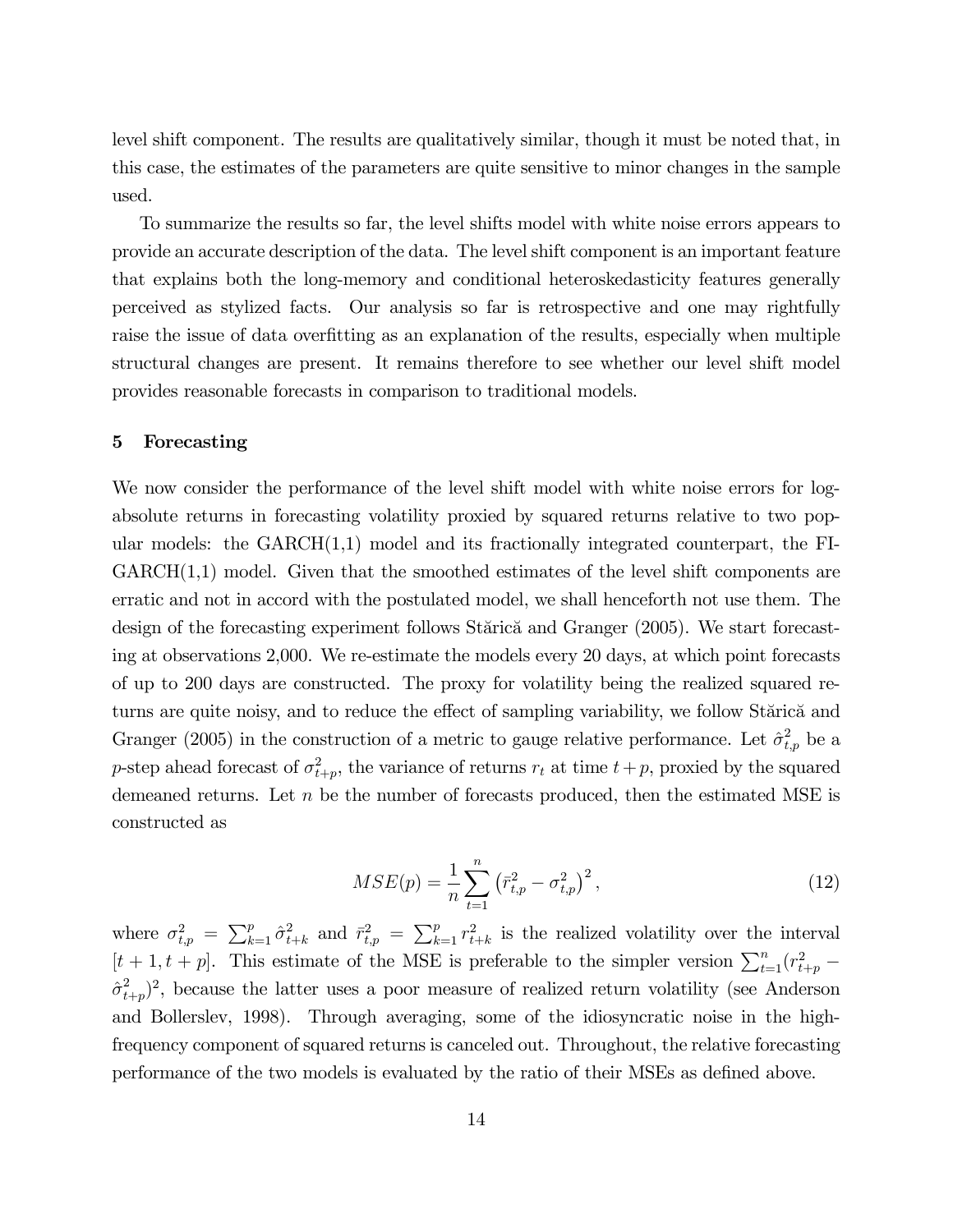level shift component. The results are qualitatively similar, though it must be noted that, in this case, the estimates of the parameters are quite sensitive to minor changes in the sample used.

To summarize the results so far, the level shifts model with white noise errors appears to provide an accurate description of the data. The level shift component is an important feature that explains both the long-memory and conditional heteroskedasticity features generally perceived as stylized facts. Our analysis so far is retrospective and one may rightfully raise the issue of data overfitting as an explanation of the results, especially when multiple structural changes are present. It remains therefore to see whether our level shift model provides reasonable forecasts in comparison to traditional models.

#### 5 Forecasting

We now consider the performance of the level shift model with white noise errors for logabsolute returns in forecasting volatility proxied by squared returns relative to two popular models: the  $GARCH(1,1)$  model and its fractionally integrated counterpart, the FI- $GARCH(1,1)$  model. Given that the smoothed estimates of the level shift components are erratic and not in accord with the postulated model, we shall henceforth not use them. The design of the forecasting experiment follows Starica and Granger (2005). We start forecasting at observations 2,000. We re-estimate the models every 20 days, at which point forecasts of up to 200 days are constructed. The proxy for volatility being the realized squared returns are quite noisy, and to reduce the effect of sampling variability, we follow Stărică and Granger (2005) in the construction of a metric to gauge relative performance. Let  $\hat{\sigma}_{t,p}^2$  be a p-step ahead forecast of  $\sigma_{t+p}^2$ , the variance of returns  $r_t$  at time  $t+p$ , proxied by the squared demeaned returns. Let  $n$  be the number of forecasts produced, then the estimated MSE is constructed as

$$
MSE(p) = \frac{1}{n} \sum_{t=1}^{n} \left( \bar{r}_{t,p}^{2} - \sigma_{t,p}^{2} \right)^{2}, \qquad (12)
$$

where  $\sigma_{t,p}^2 = \sum_{k=1}^p \hat{\sigma}_{t+k}^2$  and  $\bar{r}_{t,p}^2 = \sum_{k=1}^p r_{t+k}^2$  is the realized volatility over the interval  $[t + 1, t + p]$ . This estimate of the MSE is preferable to the simpler version  $\sum_{t=1}^{n} (r_{t+p}^2 \hat{\sigma}_{t+p}^2$ )<sup>2</sup>, because the latter uses a poor measure of realized return volatility (see Anderson and Bollerslev, 1998). Through averaging, some of the idiosyncratic noise in the highfrequency component of squared returns is canceled out. Throughout, the relative forecasting performance of the two models is evaluated by the ratio of their MSEs as defined above.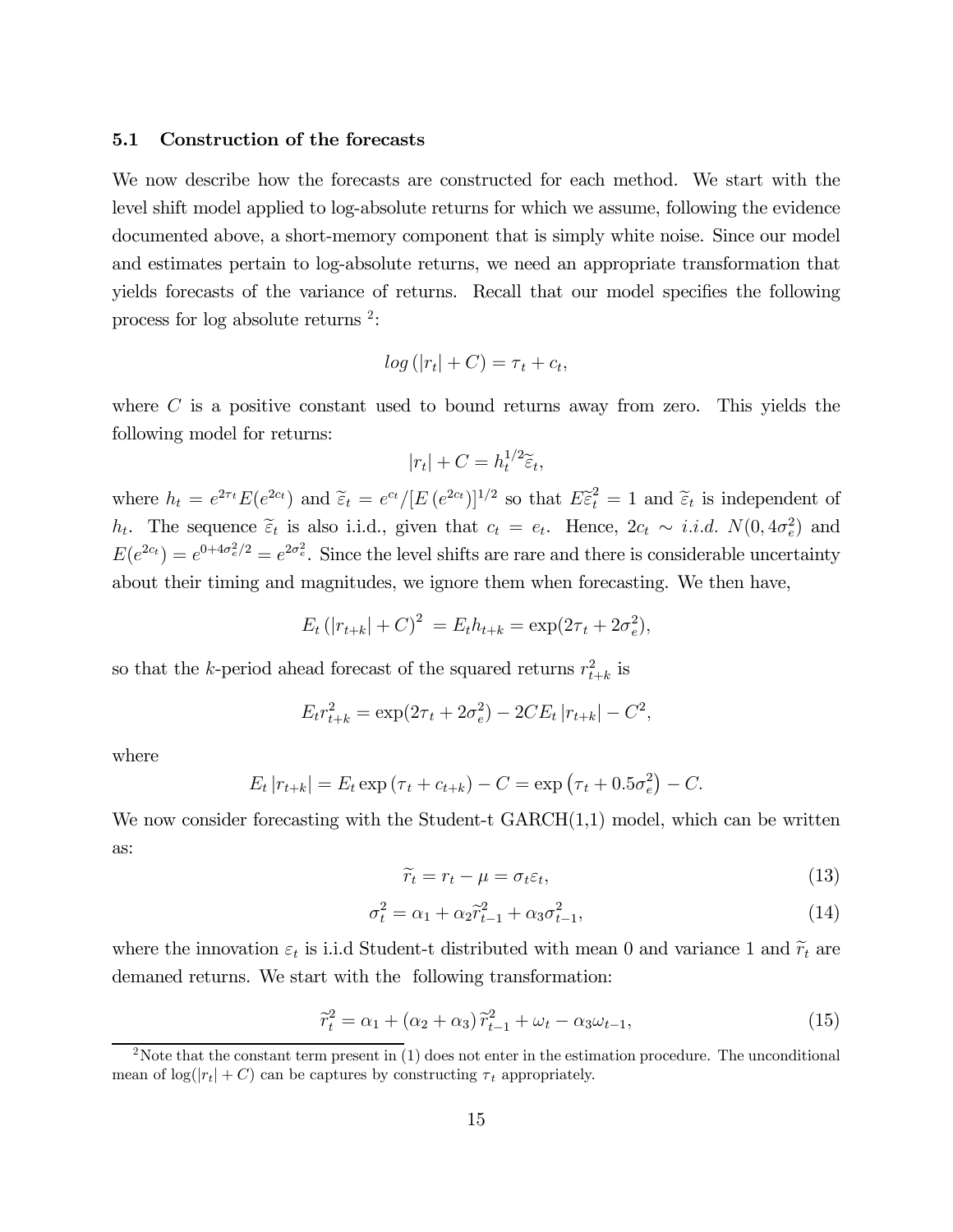#### 5.1 Construction of the forecasts

We now describe how the forecasts are constructed for each method. We start with the level shift model applied to log-absolute returns for which we assume, following the evidence documented above, a short-memory component that is simply white noise. Since our model and estimates pertain to log-absolute returns, we need an appropriate transformation that yields forecasts of the variance of returns. Recall that our model specifies the following process for log absolute returns  $2$ :

$$
log(|r_t| + C) = \tau_t + c_t,
$$

where  $C$  is a positive constant used to bound returns away from zero. This yields the following model for returns:

$$
|r_t| + C = h_t^{1/2} \widetilde{\varepsilon}_t,
$$

where  $h_t = e^{2\tau_t} E(e^{2c_t})$  and  $\tilde{\epsilon}_t = e^{c_t} / [E(e^{2c_t})]^{1/2}$  so that  $E\tilde{\epsilon}_t^2 = 1$  and  $\tilde{\epsilon}_t$  is independent of h<sub>t</sub>. The sequence  $\tilde{\epsilon}_t$  is also i.i.d., given that  $c_t = e_t$ . Hence,  $2c_t \sim i.i.d. N(0, 4\sigma_e^2)$  and  $E(e^{2c_t}) = e^{0+4\sigma_e^2/2} = e^{2\sigma_e^2}$ . Since the level shifts are rare and there is considerable uncertainty about their timing and magnitudes, we ignore them when forecasting. We then have,

$$
E_t (|r_{t+k}| + C)^2 = E_t h_{t+k} = \exp(2\tau_t + 2\sigma_e^2),
$$

so that the k-period ahead forecast of the squared returns  $r_{t+k}^2$  is

$$
E_t r_{t+k}^2 = \exp(2\tau_t + 2\sigma_e^2) - 2CE_t |r_{t+k}| - C^2,
$$

where

$$
E_t |r_{t+k}| = E_t \exp(\tau_t + c_{t+k}) - C = \exp(\tau_t + 0.5\sigma_e^2) - C.
$$

We now consider forecasting with the Student-t  $GARCH(1,1)$  model, which can be written as:

$$
\widetilde{r}_t = r_t - \mu = \sigma_t \varepsilon_t,\tag{13}
$$

$$
\sigma_t^2 = \alpha_1 + \alpha_2 \tilde{r}_{t-1}^2 + \alpha_3 \sigma_{t-1}^2,
$$
\n(14)

where the innovation  $\varepsilon_t$  is i.i.d Student-t distributed with mean 0 and variance 1 and  $\tilde{r}_t$  are demaned returns. We start with the following transformation:

$$
\widetilde{r}_t^2 = \alpha_1 + (\alpha_2 + \alpha_3)\widetilde{r}_{t-1}^2 + \omega_t - \alpha_3\omega_{t-1},\tag{15}
$$

<sup>&</sup>lt;sup>2</sup>Note that the constant term present in  $(1)$  does not enter in the estimation procedure. The unconditional mean of  $\log(|r_t| + C)$  can be captures by constructing  $\tau_t$  appropriately.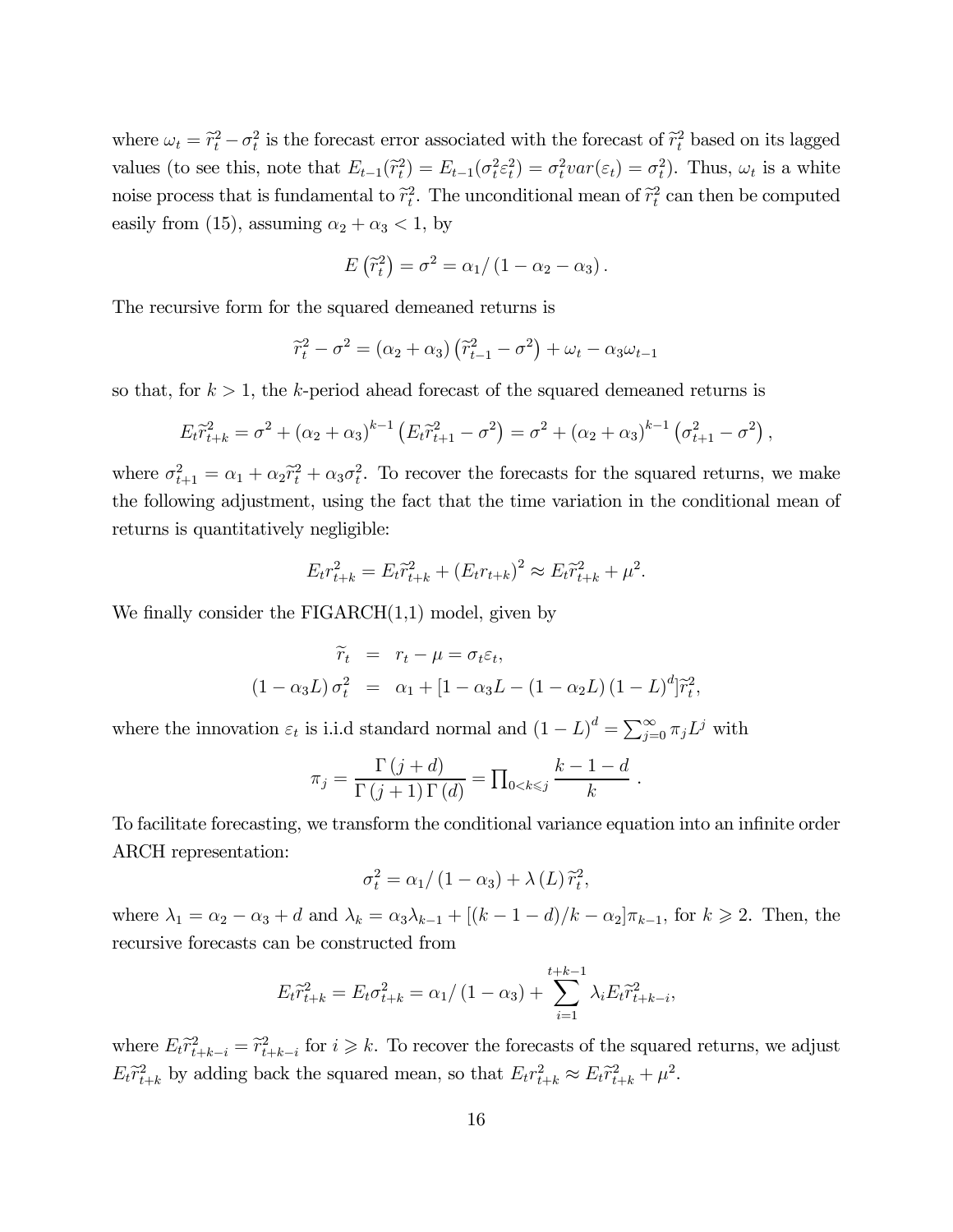where  $\omega_t = \tilde{r}_t^2 - \sigma_t^2$  is the forecast error associated with the forecast of  $\tilde{r}_t^2$  based on its lagged values (to see this, note that  $E_{t-1}(\tilde{r}_t^2) = E_{t-1}(\sigma_t^2 \varepsilon_t^2) = \sigma_t^2 var(\varepsilon_t) = \sigma_t^2$ ). Thus,  $\omega_t$  is a white noise process that is fundamental to  $\tilde{r}_t^2$ . The unconditional mean of  $\tilde{r}_t^2$  can then be computed easily from (15), assuming  $\alpha_2 + \alpha_3 < 1$ , by

$$
E\left(\tilde{r}_t^2\right) = \sigma^2 = \alpha_1/\left(1 - \alpha_2 - \alpha_3\right).
$$

The recursive form for the squared demeaned returns is

$$
\widetilde{r}_t^2 - \sigma^2 = (\alpha_2 + \alpha_3) (\widetilde{r}_{t-1}^2 - \sigma^2) + \omega_t - \alpha_3 \omega_{t-1}
$$

so that, for  $k > 1$ , the k-period ahead forecast of the squared demeaned returns is

$$
E_t \tilde{r}_{t+k}^2 = \sigma^2 + (\alpha_2 + \alpha_3)^{k-1} \left( E_t \tilde{r}_{t+1}^2 - \sigma^2 \right) = \sigma^2 + (\alpha_2 + \alpha_3)^{k-1} \left( \sigma_{t+1}^2 - \sigma^2 \right),
$$

where  $\sigma_{t+1}^2 = \alpha_1 + \alpha_2 \tilde{r}_t^2 + \alpha_3 \sigma_t^2$ . To recover the forecasts for the squared returns, we make the following adjustment, using the fact that the time variation in the conditional mean of returns is quantitatively negligible:

$$
E_t r_{t+k}^2 = E_t \tilde{r}_{t+k}^2 + (E_t r_{t+k})^2 \approx E_t \tilde{r}_{t+k}^2 + \mu^2.
$$

We finally consider the  $FIGARCH(1,1)$  model, given by

$$
\widetilde{r}_t = r_t - \mu = \sigma_t \varepsilon_t,
$$
  
\n
$$
(1 - \alpha_3 L) \sigma_t^2 = \alpha_1 + [1 - \alpha_3 L - (1 - \alpha_2 L) (1 - L)^d] \widetilde{r}_t^2,
$$

where the innovation  $\varepsilon_t$  is i.i.d standard normal and  $(1 - L)^d = \sum_{j=0}^{\infty} \pi_j L^j$  with

$$
\pi_j = \frac{\Gamma(j+d)}{\Gamma(j+1)\Gamma(d)} = \prod_{0 < k \leq j} \frac{k-1-d}{k} \, .
$$

To facilitate forecasting, we transform the conditional variance equation into an infinite order ARCH representation:

$$
\sigma_t^2 = \alpha_1 / \left(1 - \alpha_3\right) + \lambda \left(L\right) \widetilde{r}_t^2,
$$

where  $\lambda_1 = \alpha_2 - \alpha_3 + d$  and  $\lambda_k = \alpha_3 \lambda_{k-1} + [(k-1-d)/k - \alpha_2] \pi_{k-1}$ , for  $k \geq 2$ . Then, the recursive forecasts can be constructed from

$$
E_t \tilde{r}_{t+k}^2 = E_t \sigma_{t+k}^2 = \alpha_1 / (1 - \alpha_3) + \sum_{i=1}^{t+k-1} \lambda_i E_t \tilde{r}_{t+k-i}^2,
$$

where  $E_t \tilde{r}_{t+k-i}^2 = \tilde{r}_{t+k-i}^2$  for  $i \geq k$ . To recover the forecasts of the squared returns, we adjust  $E_t \tilde{r}_{t+k}^2$  by adding back the squared mean, so that  $E_t r_{t+k}^2 \approx E_t \tilde{r}_{t+k}^2 + \mu^2$ .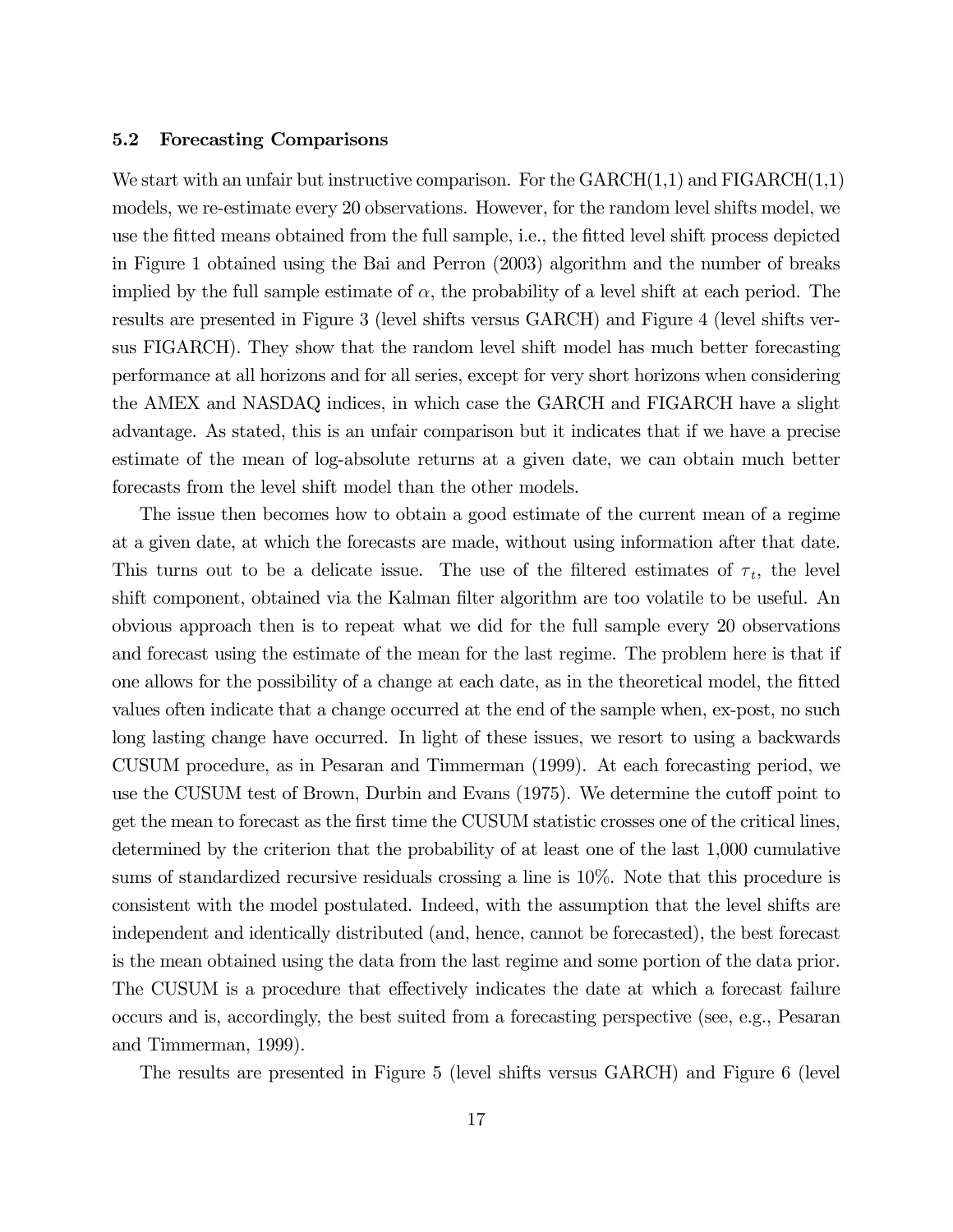#### 5.2 Forecasting Comparisons

We start with an unfair but instructive comparison. For the  $GARCH(1,1)$  and  $FIGARCH(1,1)$ models, we re-estimate every 20 observations. However, for the random level shifts model, we use the fitted means obtained from the full sample, i.e., the fitted level shift process depicted in Figure 1 obtained using the Bai and Perron (2003) algorithm and the number of breaks implied by the full sample estimate of  $\alpha$ , the probability of a level shift at each period. The results are presented in Figure 3 (level shifts versus GARCH) and Figure 4 (level shifts versus FIGARCH). They show that the random level shift model has much better forecasting performance at all horizons and for all series, except for very short horizons when considering the AMEX and NASDAQ indices, in which case the GARCH and FIGARCH have a slight advantage. As stated, this is an unfair comparison but it indicates that if we have a precise estimate of the mean of log-absolute returns at a given date, we can obtain much better forecasts from the level shift model than the other models.

The issue then becomes how to obtain a good estimate of the current mean of a regime at a given date, at which the forecasts are made, without using information after that date. This turns out to be a delicate issue. The use of the filtered estimates of  $\tau_t$ , the level shift component, obtained via the Kalman filter algorithm are too volatile to be useful. An obvious approach then is to repeat what we did for the full sample every 20 observations and forecast using the estimate of the mean for the last regime. The problem here is that if one allows for the possibility of a change at each date, as in the theoretical model, the fitted values often indicate that a change occurred at the end of the sample when, ex-post, no such long lasting change have occurred. In light of these issues, we resort to using a backwards CUSUM procedure, as in Pesaran and Timmerman (1999). At each forecasting period, we use the CUSUM test of Brown, Durbin and Evans (1975). We determine the cutoff point to get the mean to forecast as the first time the CUSUM statistic crosses one of the critical lines, determined by the criterion that the probability of at least one of the last 1,000 cumulative sums of standardized recursive residuals crossing a line is 10%. Note that this procedure is consistent with the model postulated. Indeed, with the assumption that the level shifts are independent and identically distributed (and, hence, cannot be forecasted), the best forecast is the mean obtained using the data from the last regime and some portion of the data prior. The CUSUM is a procedure that effectively indicates the date at which a forecast failure occurs and is, accordingly, the best suited from a forecasting perspective (see, e.g., Pesaran and Timmerman, 1999).

The results are presented in Figure 5 (level shifts versus GARCH) and Figure 6 (level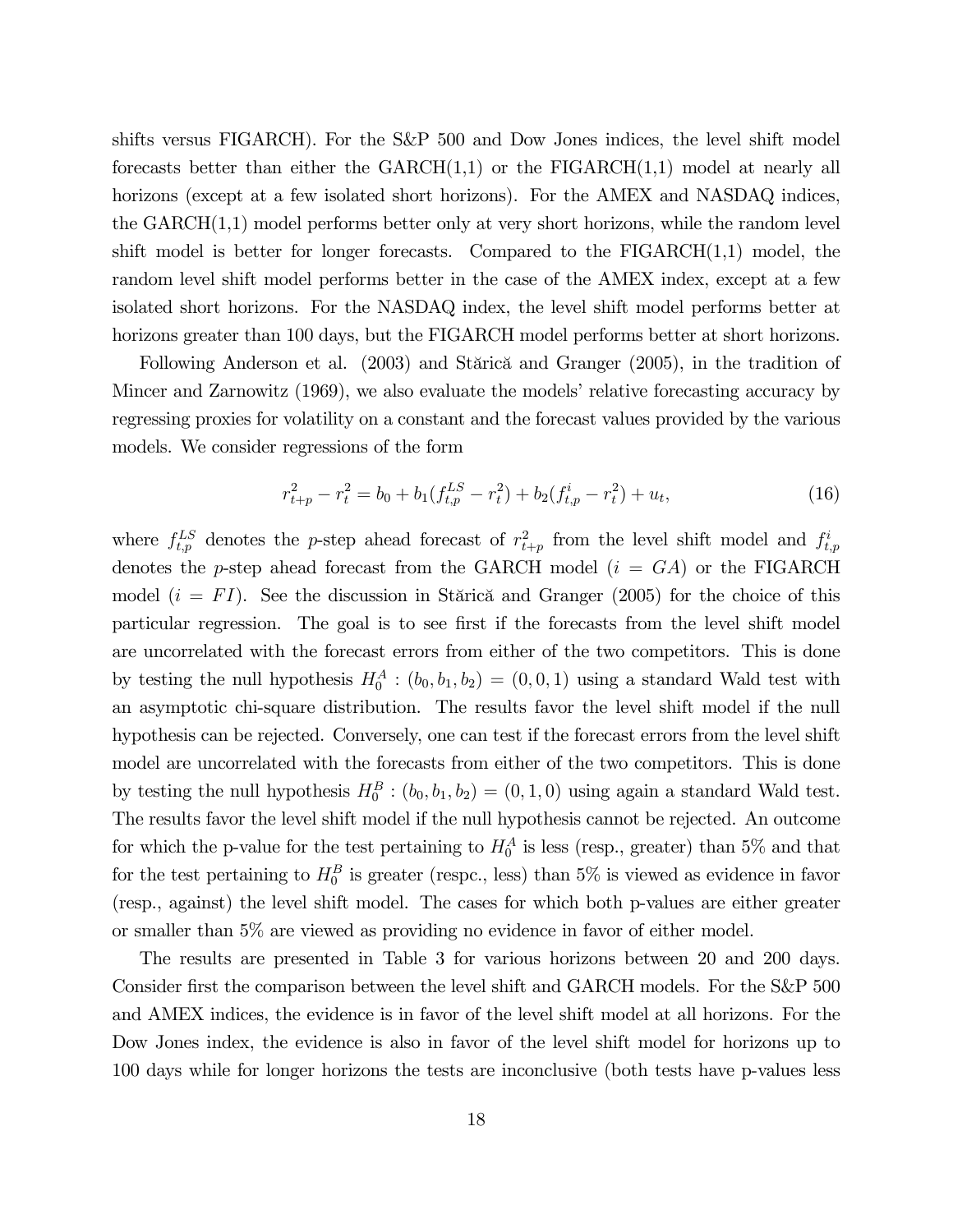shifts versus FIGARCH). For the S&P 500 and Dow Jones indices, the level shift model forecasts better than either the  $GARCH(1,1)$  or the  $FIGARCH(1,1)$  model at nearly all horizons (except at a few isolated short horizons). For the AMEX and NASDAQ indices, the  $GARCH(1,1)$  model performs better only at very short horizons, while the random level shift model is better for longer forecasts. Compared to the  $FIGARCH(1,1)$  model, the random level shift model performs better in the case of the AMEX index, except at a few isolated short horizons. For the NASDAQ index, the level shift model performs better at horizons greater than 100 days, but the FIGARCH model performs better at short horizons.

Following Anderson et al. (2003) and Starica and Granger (2005), in the tradition of Mincer and Zarnowitz (1969), we also evaluate the models' relative forecasting accuracy by regressing proxies for volatility on a constant and the forecast values provided by the various models. We consider regressions of the form

$$
r_{t+p}^2 - r_t^2 = b_0 + b_1(f_{t,p}^{LS} - r_t^2) + b_2(f_{t,p}^i - r_t^2) + u_t,
$$
\n(16)

where  $f_{t,p}^{LS}$  denotes the p-step ahead forecast of  $r_{t+p}^2$  from the level shift model and  $f_{t,p}^i$ denotes the p-step ahead forecast from the GARCH model  $(i = GA)$  or the FIGARCH model  $(i = FI)$ . See the discussion in Starica and Granger (2005) for the choice of this particular regression. The goal is to see first if the forecasts from the level shift model are uncorrelated with the forecast errors from either of the two competitors. This is done by testing the null hypothesis  $H_0^A$ :  $(b_0, b_1, b_2) = (0, 0, 1)$  using a standard Wald test with an asymptotic chi-square distribution. The results favor the level shift model if the null hypothesis can be rejected. Conversely, one can test if the forecast errors from the level shift model are uncorrelated with the forecasts from either of the two competitors. This is done by testing the null hypothesis  $H_0^B$ :  $(b_0, b_1, b_2) = (0, 1, 0)$  using again a standard Wald test. The results favor the level shift model if the null hypothesis cannot be rejected. An outcome for which the p-value for the test pertaining to  $H_0^A$  is less (resp., greater) than 5% and that for the test pertaining to  $H_0^B$  is greater (respc., less) than 5% is viewed as evidence in favor (resp., against) the level shift model. The cases for which both p-values are either greater or smaller than 5% are viewed as providing no evidence in favor of either model.

The results are presented in Table 3 for various horizons between 20 and 200 days. Consider first the comparison between the level shift and GARCH models. For the S&P 500 and AMEX indices, the evidence is in favor of the level shift model at all horizons. For the Dow Jones index, the evidence is also in favor of the level shift model for horizons up to 100 days while for longer horizons the tests are inconclusive (both tests have p-values less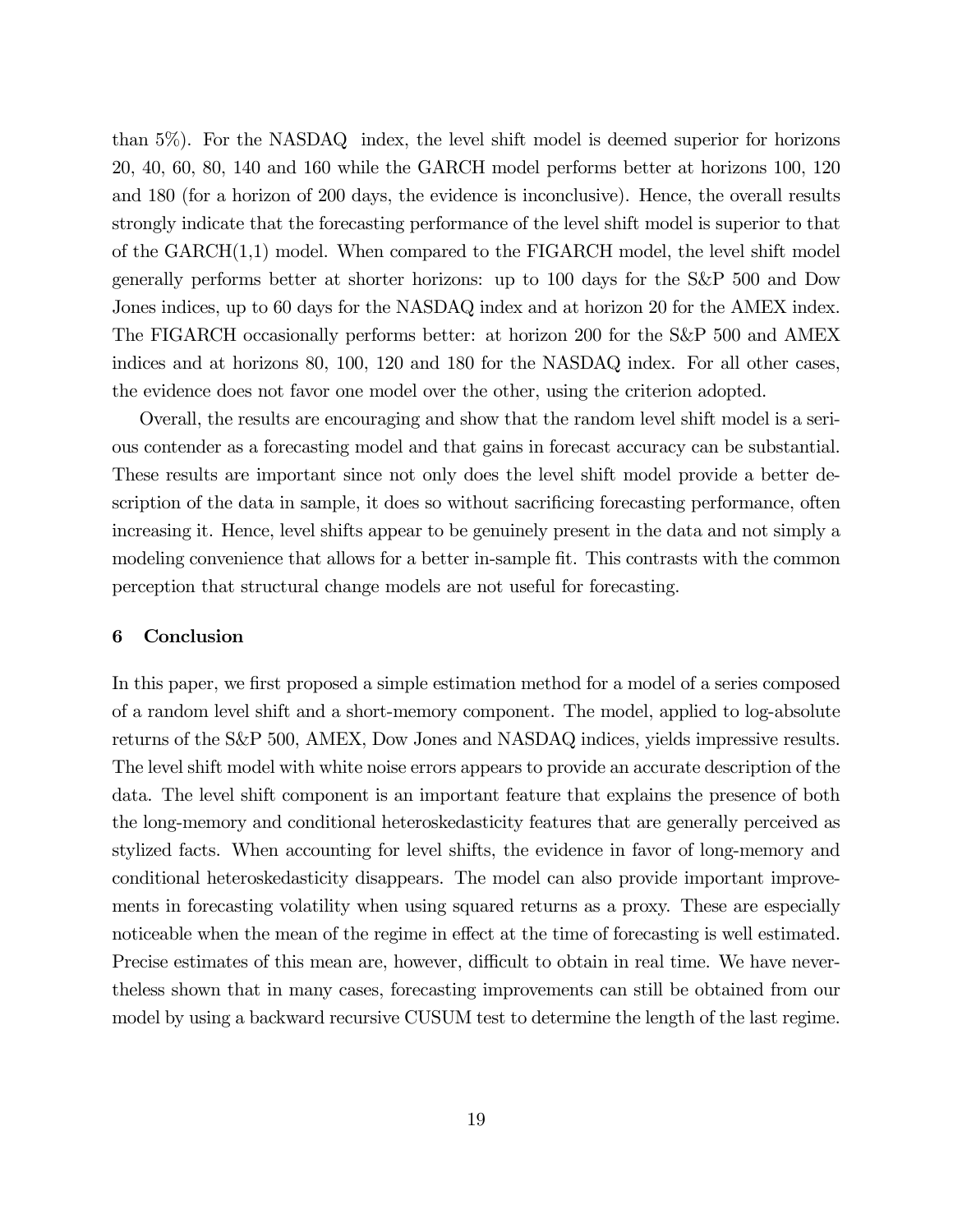than 5%). For the NASDAQ index, the level shift model is deemed superior for horizons 20, 40, 60, 80, 140 and 160 while the GARCH model performs better at horizons 100, 120 and 180 (for a horizon of 200 days, the evidence is inconclusive). Hence, the overall results strongly indicate that the forecasting performance of the level shift model is superior to that of the GARCH(1,1) model. When compared to the FIGARCH model, the level shift model generally performs better at shorter horizons: up to 100 days for the S&P 500 and Dow Jones indices, up to 60 days for the NASDAQ index and at horizon 20 for the AMEX index. The FIGARCH occasionally performs better: at horizon 200 for the S&P 500 and AMEX indices and at horizons 80, 100, 120 and 180 for the NASDAQ index. For all other cases, the evidence does not favor one model over the other, using the criterion adopted.

Overall, the results are encouraging and show that the random level shift model is a serious contender as a forecasting model and that gains in forecast accuracy can be substantial. These results are important since not only does the level shift model provide a better description of the data in sample, it does so without sacrificing forecasting performance, often increasing it. Hence, level shifts appear to be genuinely present in the data and not simply a modeling convenience that allows for a better in-sample fit. This contrasts with the common perception that structural change models are not useful for forecasting.

#### 6 Conclusion

In this paper, we first proposed a simple estimation method for a model of a series composed of a random level shift and a short-memory component. The model, applied to log-absolute returns of the S&P 500, AMEX, Dow Jones and NASDAQ indices, yields impressive results. The level shift model with white noise errors appears to provide an accurate description of the data. The level shift component is an important feature that explains the presence of both the long-memory and conditional heteroskedasticity features that are generally perceived as stylized facts. When accounting for level shifts, the evidence in favor of long-memory and conditional heteroskedasticity disappears. The model can also provide important improvements in forecasting volatility when using squared returns as a proxy. These are especially noticeable when the mean of the regime in effect at the time of forecasting is well estimated. Precise estimates of this mean are, however, difficult to obtain in real time. We have nevertheless shown that in many cases, forecasting improvements can still be obtained from our model by using a backward recursive CUSUM test to determine the length of the last regime.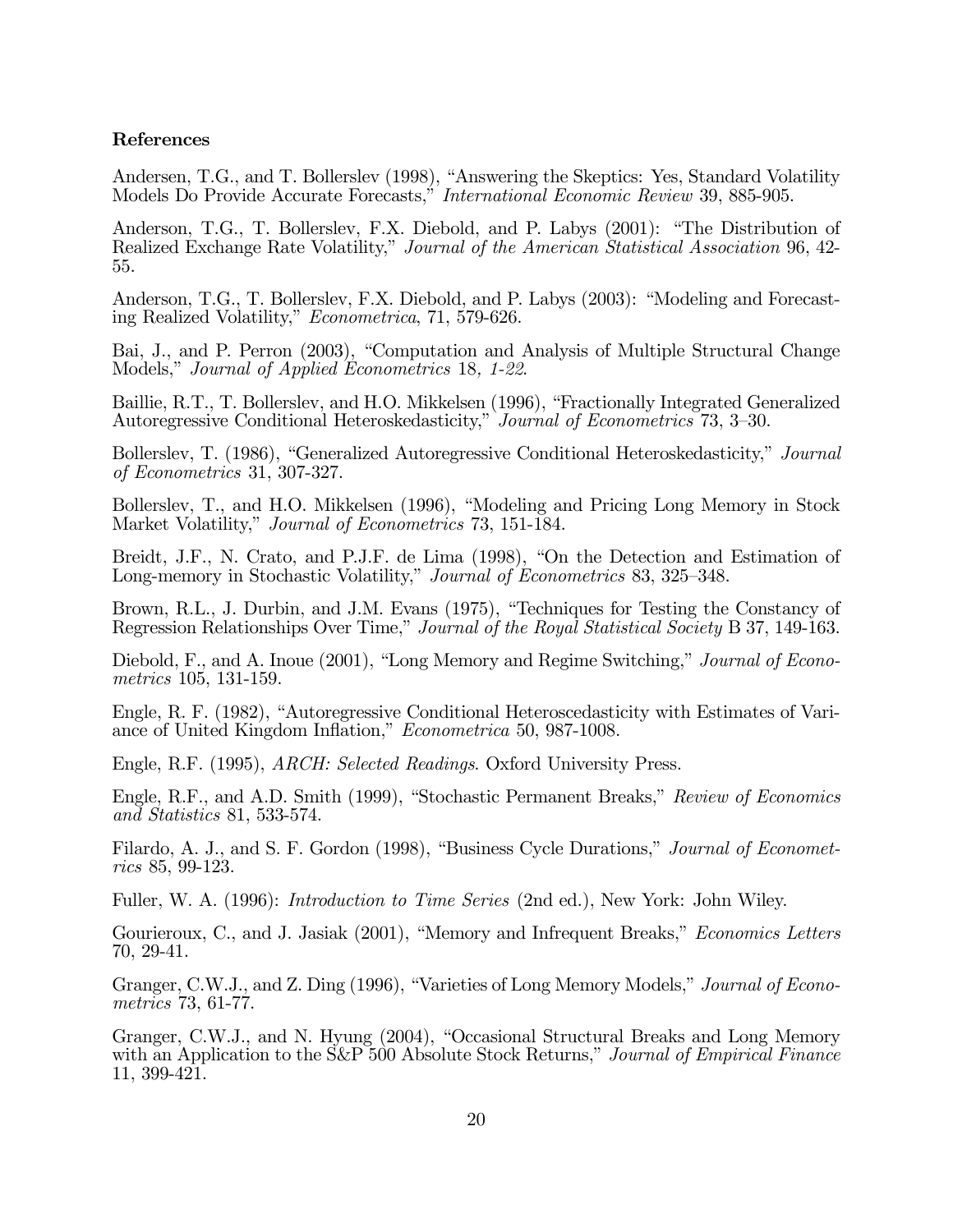#### References

Andersen, T.G., and T. Bollerslev (1998), "Answering the Skeptics: Yes, Standard Volatility Models Do Provide Accurate Forecasts," *International Economic Review* 39, 885-905.

Anderson, T.G., T. Bollerslev, F.X. Diebold, and P. Labys (2001): "The Distribution of Realized Exchange Rate Volatility," Journal of the American Statistical Association 96, 42- 55.

Anderson, T.G., T. Bollerslev, F.X. Diebold, and P. Labys (2003): "Modeling and Forecasting Realized Volatility," Econometrica, 71, 579-626.

Bai, J., and P. Perron (2003), "Computation and Analysis of Multiple Structural Change Models," Journal of Applied Econometrics 18, 1-22.

Baillie, R.T., T. Bollerslev, and H.O. Mikkelsen (1996), "Fractionally Integrated Generalized Autoregressive Conditional Heteroskedasticity," Journal of Econometrics 73, 3—30.

Bollerslev, T. (1986), "Generalized Autoregressive Conditional Heteroskedasticity," Journal of Econometrics 31, 307-327.

Bollerslev, T., and H.O. Mikkelsen (1996), "Modeling and Pricing Long Memory in Stock Market Volatility," *Journal of Econometrics* 73, 151-184.

Breidt, J.F., N. Crato, and P.J.F. de Lima (1998), "On the Detection and Estimation of Long-memory in Stochastic Volatility," Journal of Econometrics 83, 325—348.

Brown, R.L., J. Durbin, and J.M. Evans (1975), "Techniques for Testing the Constancy of Regression Relationships Over Time," Journal of the Royal Statistical Society B 37, 149-163.

Diebold, F., and A. Inoue (2001), "Long Memory and Regime Switching," Journal of Econometrics 105, 131-159.

Engle, R. F. (1982), "Autoregressive Conditional Heteroscedasticity with Estimates of Variance of United Kingdom Inflation," Econometrica 50, 987-1008.

Engle, R.F. (1995), ARCH: Selected Readings. Oxford University Press.

Engle, R.F., and A.D. Smith (1999), "Stochastic Permanent Breaks," Review of Economics and Statistics 81, 533-574.

Filardo, A. J., and S. F. Gordon (1998), "Business Cycle Durations," Journal of Econometrics 85, 99-123.

Fuller, W. A. (1996): Introduction to Time Series (2nd ed.), New York: John Wiley.

Gourieroux, C., and J. Jasiak (2001), "Memory and Infrequent Breaks," Economics Letters 70, 29-41.

Granger, C.W.J., and Z. Ding (1996), "Varieties of Long Memory Models," Journal of Econometrics 73, 61-77.

Granger, C.W.J., and N. Hyung (2004), "Occasional Structural Breaks and Long Memory with an Application to the S&P 500 Absolute Stock Returns," Journal of Empirical Finance 11, 399-421.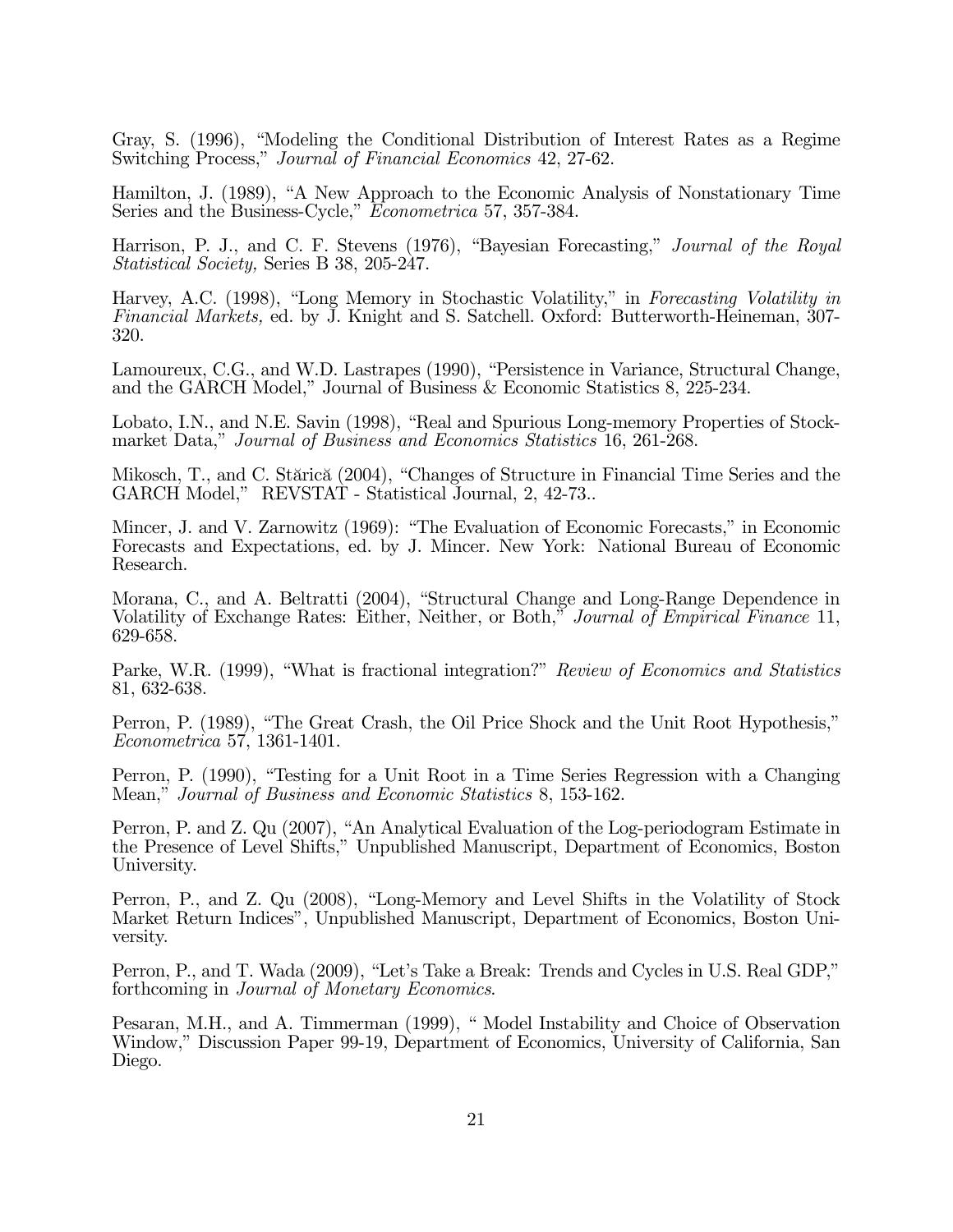Gray, S. (1996), "Modeling the Conditional Distribution of Interest Rates as a Regime Switching Process," Journal of Financial Economics 42, 27-62.

Hamilton, J. (1989), "A New Approach to the Economic Analysis of Nonstationary Time Series and the Business-Cycle," *Econometrica* 57, 357-384.

Harrison, P. J., and C. F. Stevens (1976), "Bayesian Forecasting," Journal of the Royal Statistical Society, Series B 38, 205-247.

Harvey, A.C. (1998), "Long Memory in Stochastic Volatility," in Forecasting Volatility in Financial Markets, ed. by J. Knight and S. Satchell. Oxford: Butterworth-Heineman, 307- 320.

Lamoureux, C.G., and W.D. Lastrapes (1990), "Persistence in Variance, Structural Change, and the GARCH Model," Journal of Business & Economic Statistics 8, 225-234.

Lobato, I.N., and N.E. Savin (1998), "Real and Spurious Long-memory Properties of Stockmarket Data," Journal of Business and Economics Statistics 16, 261-268.

Mikosch, T., and C. Stărică (2004), "Changes of Structure in Financial Time Series and the GARCH Model," REVSTAT - Statistical Journal, 2, 42-73..

Mincer, J. and V. Zarnowitz (1969): "The Evaluation of Economic Forecasts," in Economic Forecasts and Expectations, ed. by J. Mincer. New York: National Bureau of Economic Research.

Morana, C., and A. Beltratti (2004), "Structural Change and Long-Range Dependence in Volatility of Exchange Rates: Either, Neither, or Both,<sup>"</sup> Journal of Empirical Finance 11, 629-658.

Parke, W.R. (1999), "What is fractional integration?" Review of Economics and Statistics 81, 632-638.

Perron, P. (1989), "The Great Crash, the Oil Price Shock and the Unit Root Hypothesis," Econometrica 57, 1361-1401.

Perron, P. (1990), "Testing for a Unit Root in a Time Series Regression with a Changing Mean," Journal of Business and Economic Statistics 8, 153-162.

Perron, P. and Z. Qu (2007), "An Analytical Evaluation of the Log-periodogram Estimate in the Presence of Level Shifts," Unpublished Manuscript, Department of Economics, Boston University.

Perron, P., and Z. Qu (2008), "Long-Memory and Level Shifts in the Volatility of Stock Market Return Indices", Unpublished Manuscript, Department of Economics, Boston University.

Perron, P., and T. Wada (2009), "Let's Take a Break: Trends and Cycles in U.S. Real GDP," forthcoming in Journal of Monetary Economics.

Pesaran, M.H., and A. Timmerman (1999), " Model Instability and Choice of Observation Window," Discussion Paper 99-19, Department of Economics, University of California, San Diego.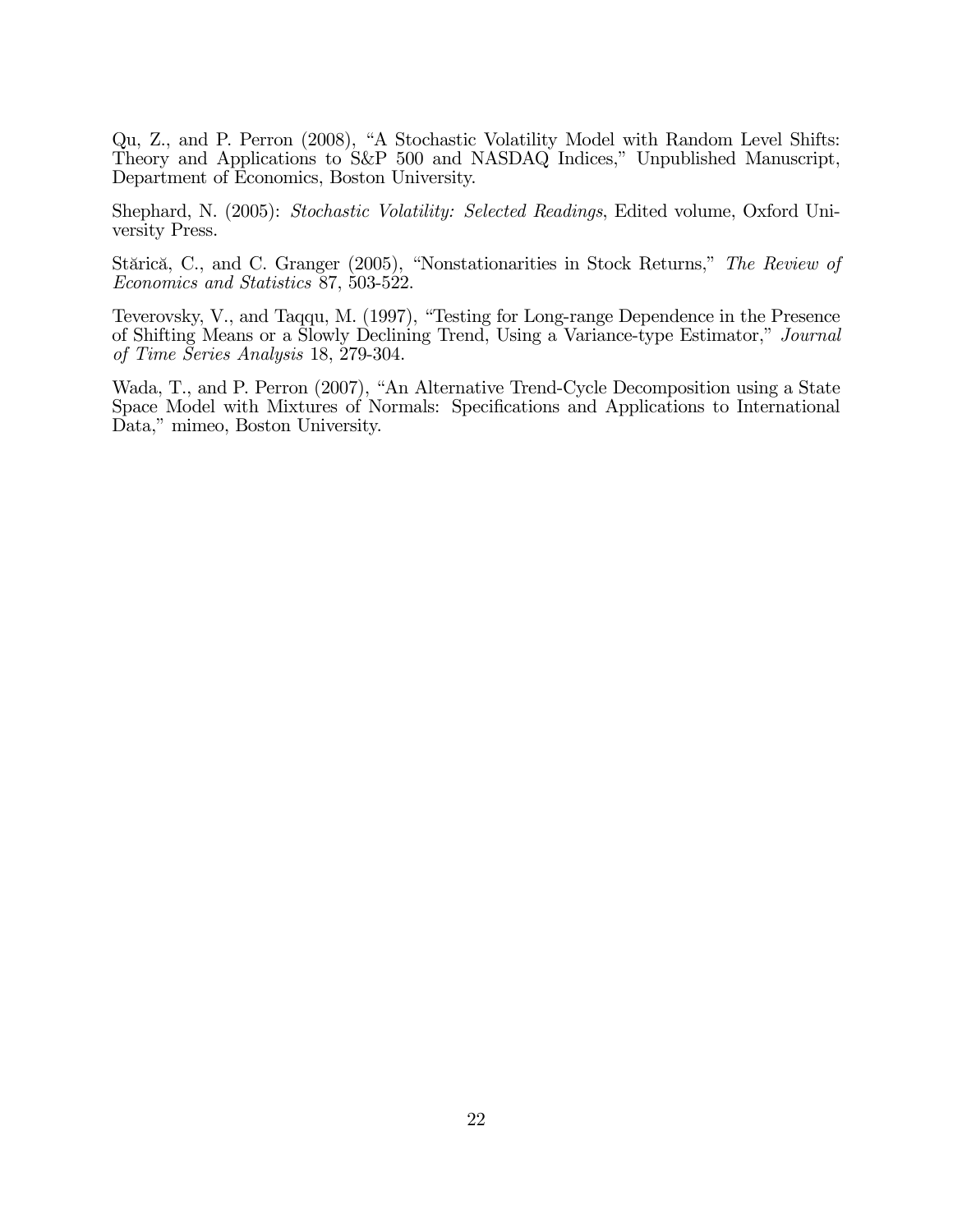Qu, Z., and P. Perron (2008), "A Stochastic Volatility Model with Random Level Shifts: Theory and Applications to S&P 500 and NASDAQ Indices," Unpublished Manuscript, Department of Economics, Boston University.

Shephard, N. (2005): Stochastic Volatility: Selected Readings, Edited volume, Oxford University Press.

Stărică, C., and C. Granger (2005), "Nonstationarities in Stock Returns," The Review of Economics and Statistics 87, 503-522.

Teverovsky, V., and Taqqu, M. (1997), "Testing for Long-range Dependence in the Presence of Shifting Means or a Slowly Declining Trend, Using a Variance-type Estimator," Journal of Time Series Analysis 18, 279-304.

Wada, T., and P. Perron (2007), "An Alternative Trend-Cycle Decomposition using a State Space Model with Mixtures of Normals: Specifications and Applications to International Data," mimeo, Boston University.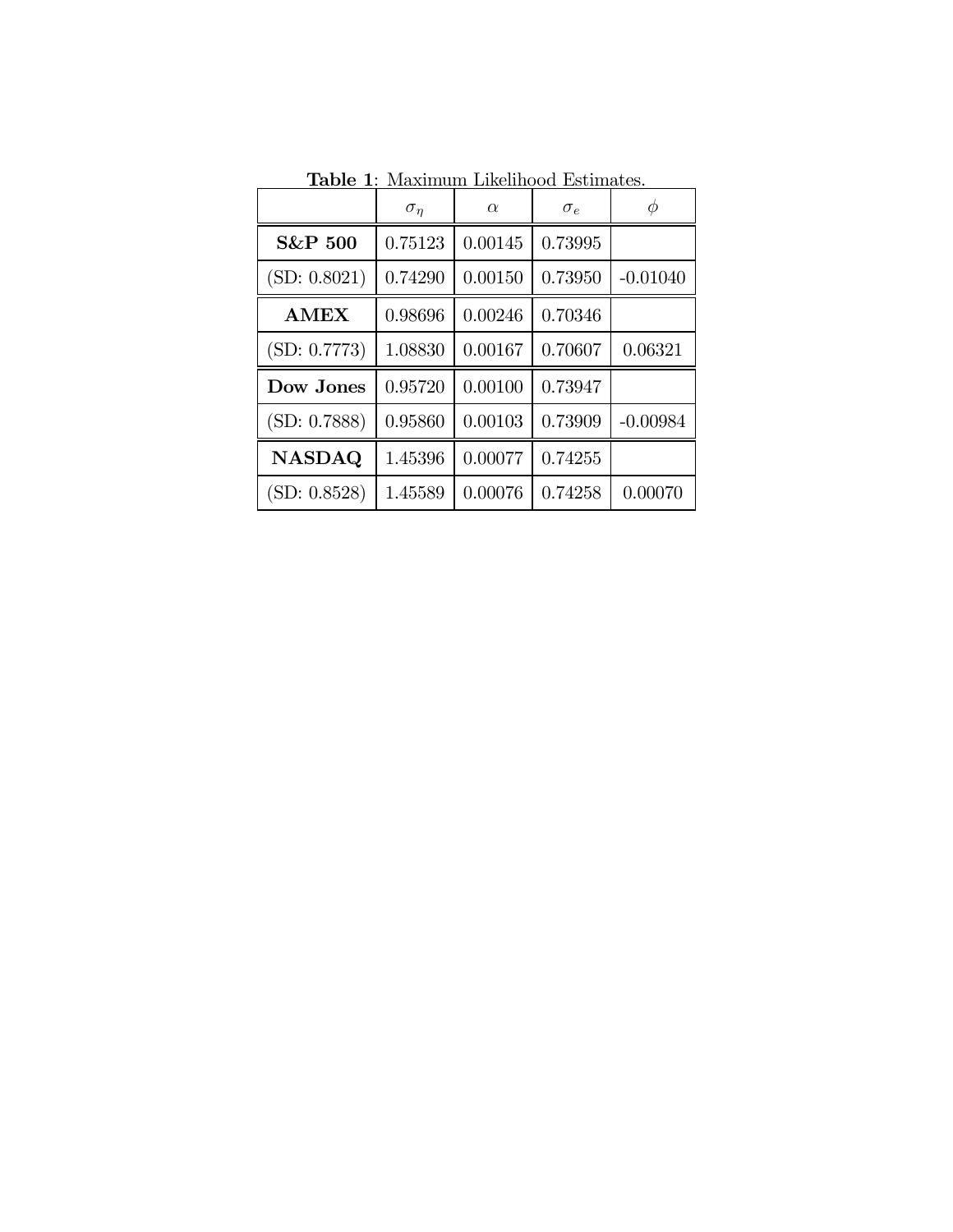|                    | $\sigma_{\eta}$ | $\alpha$ | $\sigma_e$ | Ф          |
|--------------------|-----------------|----------|------------|------------|
| <b>S&amp;P 500</b> | 0.75123         | 0.00145  | 0.73995    |            |
| (SD: 0.8021)       | 0.74290         | 0.00150  | 0.73950    | $-0.01040$ |
| <b>AMEX</b>        | 0.98696         | 0.00246  | 0.70346    |            |
| (SD: 0.7773)       | 1.08830         | 0.00167  | 0.70607    | 0.06321    |
| Dow Jones          | 0.95720         | 0.00100  | 0.73947    |            |
| (SD: 0.7888)       | 0.95860         | 0.00103  | 0.73909    | $-0.00984$ |
| <b>NASDAQ</b>      | 1.45396         | 0.00077  | 0.74255    |            |
| (SD: 0.8528)       | 1.45589         | 0.00076  | 0.74258    | 0.00070    |

Table 1: Maximum Likelihood Estimates.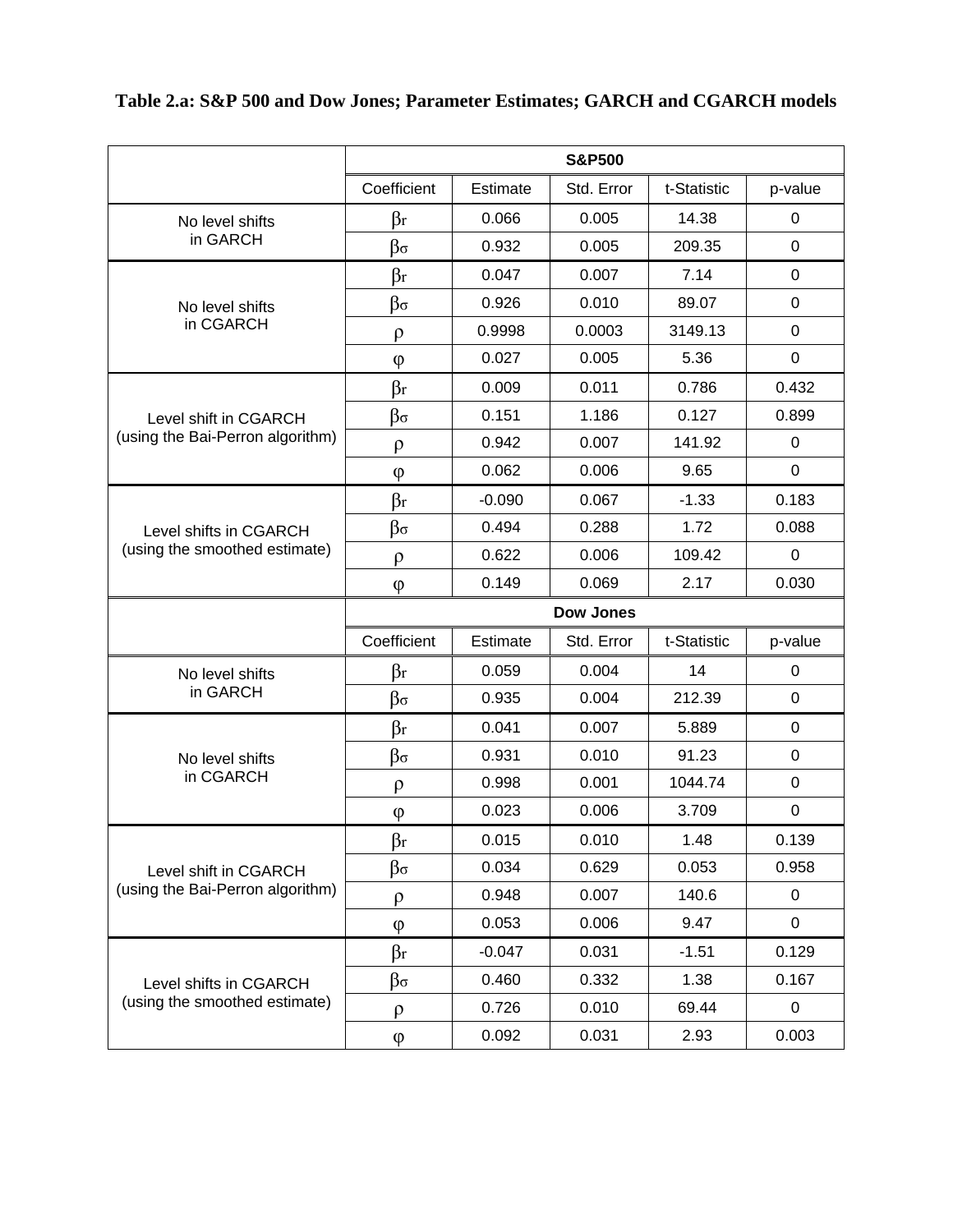|                                  | <b>S&amp;P500</b>          |                |                |             |                  |  |
|----------------------------------|----------------------------|----------------|----------------|-------------|------------------|--|
|                                  | Coefficient                | Estimate       | Std. Error     | t-Statistic | p-value          |  |
| No level shifts                  | $\beta r$                  | 0.066          | 0.005          | 14.38       | 0                |  |
| in GARCH                         | $\beta\sigma$              | 0.932<br>0.005 |                | 209.35      | 0                |  |
|                                  | $\beta r$                  | 0.047          | 0.007          | 7.14        | 0                |  |
| No level shifts                  | βσ                         | 0.926          | 0.010<br>89.07 |             | 0                |  |
| in CGARCH                        | 0.0003<br>0.9998<br>$\rho$ |                | 3149.13        | 0           |                  |  |
|                                  | 0.027<br>$\varphi$         |                | 0.005          | 5.36        | $\boldsymbol{0}$ |  |
|                                  | $\beta r$                  | 0.009          | 0.011          | 0.786       | 0.432            |  |
| Level shift in CGARCH            | 0.151<br>$\beta\sigma$     |                | 1.186          | 0.127       | 0.899            |  |
| (using the Bai-Perron algorithm) | $\rho$                     | 0.942<br>0.007 |                | 141.92      | 0                |  |
|                                  | $\varphi$                  | 0.062          | 0.006          | 9.65        | $\boldsymbol{0}$ |  |
|                                  | $\beta r$                  | $-0.090$       | 0.067          | $-1.33$     | 0.183            |  |
| Level shifts in CGARCH           | βσ                         | 0.494          | 0.288          | 1.72        | 0.088            |  |
| (using the smoothed estimate)    | $\rho$                     | 0.622          | 0.006          | 109.42      | 0                |  |
|                                  | $\varphi$                  | 0.149          | 0.069          | 2.17        | 0.030            |  |
|                                  | <b>Dow Jones</b>           |                |                |             |                  |  |
|                                  | Coefficient                | Estimate       | Std. Error     | t-Statistic | p-value          |  |
|                                  |                            |                |                |             |                  |  |
| No level shifts                  | $\beta r$                  | 0.059          | 0.004          | 14          | 0                |  |
| in GARCH                         | βσ                         | 0.935          | 0.004          | 212.39      | 0                |  |
|                                  | $\beta r$                  | 0.041          | 0.007          | 5.889       | 0                |  |
| No level shifts                  | βσ                         | 0.931          | 0.010          | 91.23       | $\boldsymbol{0}$ |  |
| in CGARCH                        | $\rho$                     | 0.998          | 0.001          | 1044.74     | $\boldsymbol{0}$ |  |
|                                  | $\phi$                     | 0.023          | 0.006          | 3.709       | $\boldsymbol{0}$ |  |
|                                  | $\sim$<br>βr               | 0.015          | 0.010          | 1.48        | 0.139            |  |
| Level shift in CGARCH            | βσ                         | 0.034          | 0.629          | 0.053       | 0.958            |  |
| (using the Bai-Perron algorithm) | $\rho$                     | 0.948          | 0.007          | 140.6       | 0                |  |
|                                  | $\varphi$                  | 0.053          | 0.006          | 9.47        | 0                |  |
|                                  | $\beta$ r                  | $-0.047$       | 0.031          | $-1.51$     | 0.129            |  |
| Level shifts in CGARCH           | βσ                         | 0.460          | 0.332          | 1.38        | 0.167            |  |
| (using the smoothed estimate)    | $\rho$                     | 0.726          | 0.010          | 69.44       | 0                |  |

### **Table 2.a: S&P 500 and Dow Jones; Parameter Estimates; GARCH and CGARCH models**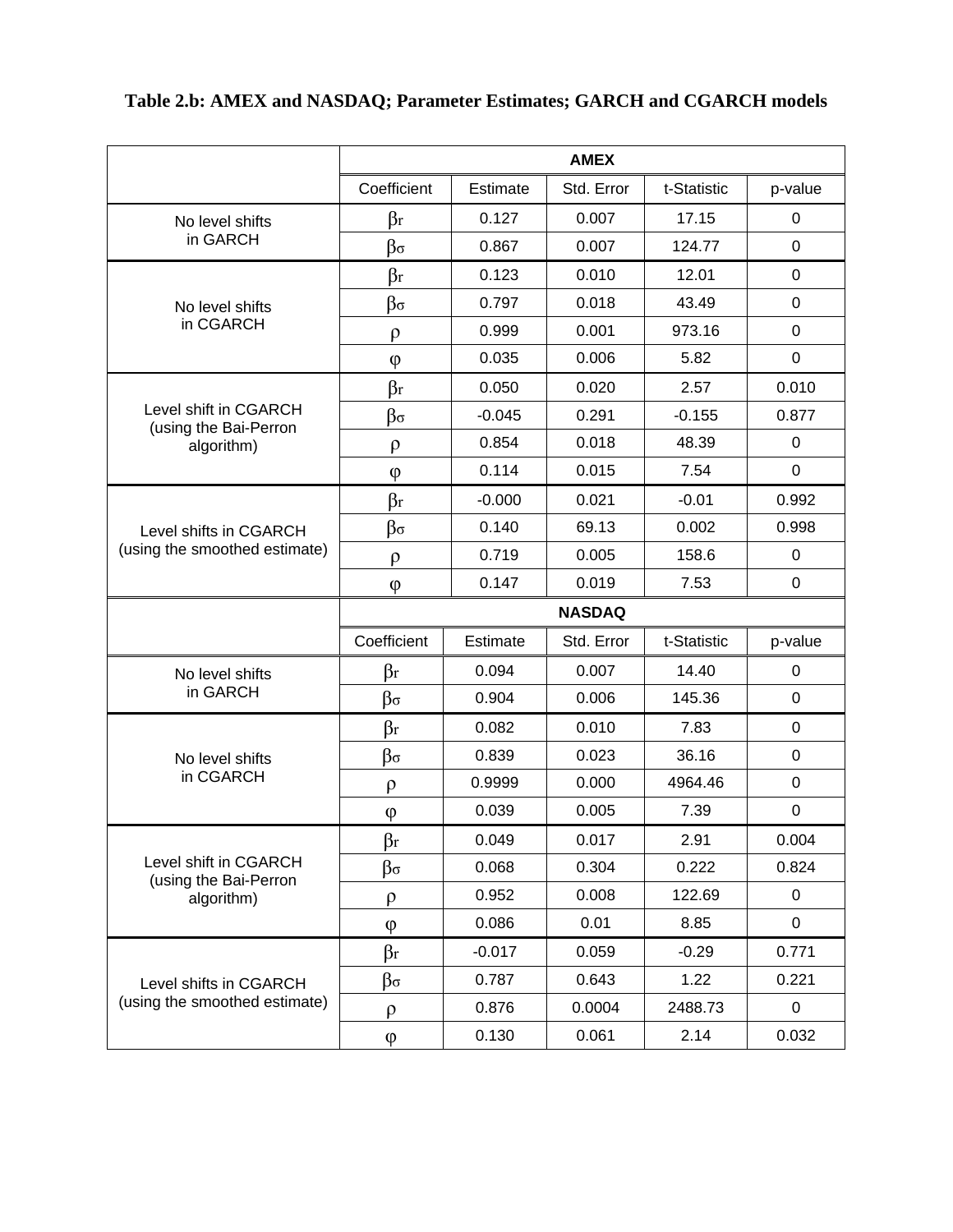|                                                | <b>AMEX</b>                                            |          |            |             |                  |  |
|------------------------------------------------|--------------------------------------------------------|----------|------------|-------------|------------------|--|
|                                                | Coefficient                                            | Estimate | Std. Error | t-Statistic | p-value          |  |
| No level shifts                                | $\beta r$                                              | 0.127    | 0.007      | 17.15       | $\mathbf 0$      |  |
| in GARCH                                       | $\beta\sigma$                                          | 0.867    | 0.007      | 124.77      | 0                |  |
|                                                | $\beta$ r                                              | 0.123    | 0.010      | 12.01       | 0                |  |
| No level shifts                                | $\beta\sigma$<br>0.797<br>in CGARCH<br>0.999<br>$\rho$ |          | 0.018      | 43.49       | 0                |  |
|                                                |                                                        |          | 0.001      | 973.16      | 0                |  |
|                                                | $\varphi$                                              | 0.035    | 0.006      | 5.82        | $\pmb{0}$        |  |
|                                                | $\beta$ r                                              | 0.050    | 0.020      | 2.57        | 0.010            |  |
| Level shift in CGARCH<br>(using the Bai-Perron | $\beta\sigma$                                          | $-0.045$ | 0.291      | $-0.155$    | 0.877            |  |
| algorithm)                                     | $\rho$                                                 | 0.854    | 0.018      | 48.39       | 0                |  |
|                                                | $\varphi$                                              | 0.114    | 0.015      | 7.54        | $\pmb{0}$        |  |
|                                                | $\beta r$                                              | $-0.000$ | 0.021      | $-0.01$     | 0.992            |  |
| Level shifts in CGARCH                         | $\beta\sigma$                                          | 0.140    | 69.13      | 0.002       | 0.998            |  |
| (using the smoothed estimate)                  | $\rho$                                                 | 0.719    | 0.005      | 158.6       | $\mathbf 0$      |  |
|                                                | $\varphi$                                              | 0.147    | 0.019      | 7.53        | 0                |  |
|                                                | <b>NASDAQ</b>                                          |          |            |             |                  |  |
|                                                | Coefficient                                            | Estimate | Std. Error | t-Statistic | p-value          |  |
| No level shifts                                | $\beta r$                                              | 0.094    | 0.007      | 14.40       | 0                |  |
| in GARCH                                       | $\beta\sigma$                                          | 0.904    | 0.006      | 145.36      | $\mathbf 0$      |  |
|                                                | $\beta r$                                              | 0.082    | 0.010      | 7.83        | $\mathbf 0$      |  |
| No level shifts                                | βσ                                                     | 0.839    | 0.023      | 36.16       | $\pmb{0}$        |  |
| in CGARCH                                      | $\rho$                                                 | 0.9999   | 0.000      | 4964.46     | $\pmb{0}$        |  |
|                                                | $\varphi$                                              | 0.039    | 0.005      | 7.39        | $\boldsymbol{0}$ |  |
|                                                | $\beta r$                                              | 0.049    | 0.017      | 2.91        | 0.004            |  |
| Level shift in CGARCH<br>(using the Bai-Perron | βσ                                                     | 0.068    | 0.304      | 0.222       | 0.824            |  |
| algorithm)                                     | $\rho$                                                 | 0.952    | 0.008      | 122.69      | $\mathbf 0$      |  |
|                                                | $\phi$                                                 | 0.086    | 0.01       | 8.85        | $\mathbf 0$      |  |
|                                                | $\beta$ r                                              | $-0.017$ | 0.059      | $-0.29$     | 0.771            |  |
| Level shifts in CGARCH                         | βσ                                                     | 0.787    | 0.643      | 1.22        | 0.221            |  |
| (using the smoothed estimate)                  | $\rho$                                                 | 0.876    | 0.0004     | 2488.73     | 0                |  |
|                                                |                                                        | 0.130    | 0.061      | 2.14        | 0.032            |  |

## **Table 2.b: AMEX and NASDAQ; Parameter Estimates; GARCH and CGARCH models**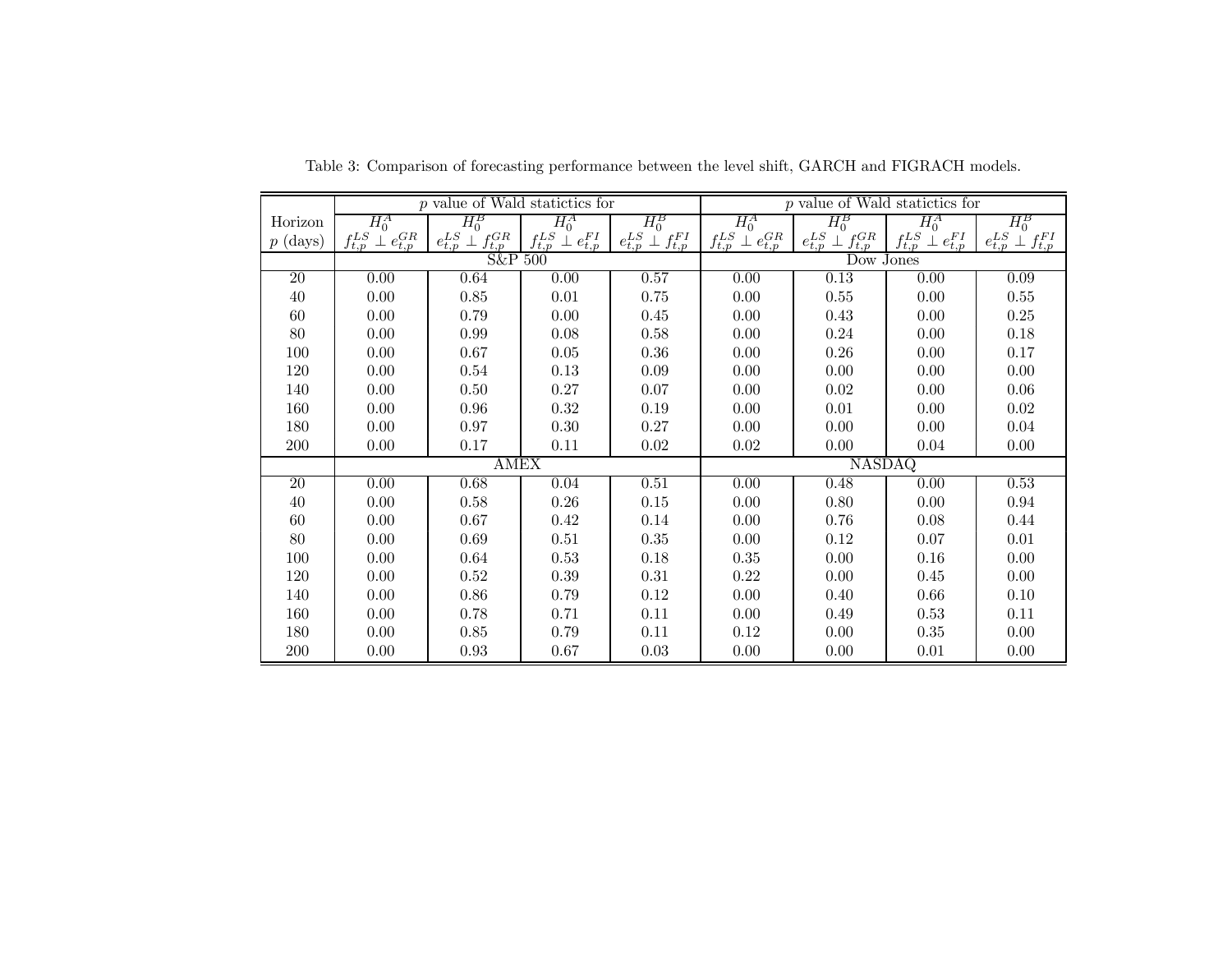|                    | $p$ value of Wald statictics for  |                                           |                                        | $\overline{p}$ value of Wald statictics for    |                                   |                                   |                                   |                                       |  |
|--------------------|-----------------------------------|-------------------------------------------|----------------------------------------|------------------------------------------------|-----------------------------------|-----------------------------------|-----------------------------------|---------------------------------------|--|
| Horizon            | $H_0^A$                           | $H_0^B$                                   | $H_0^A$                                | $H_0^B$                                        | $H_0^A$                           | $H_0^B$                           | $H_0^A$                           | $H_0^B$                               |  |
| $p \text{ (days)}$ | $f_{t,p}^{LS} \perp e_{t,p}^{GR}$ | $\int_{t,p}^{GR}$<br>$e^{LS}_{t,p} \perp$ | $\perp e_{t,p}^{FI}$<br>$f_{t,p}^{LS}$ | $\mathcal{L}$ $f_{t,p}^{FI}$<br>$e^{LS}_{t,p}$ | $f_{t,p}^{LS} \perp e_{t,p}^{GR}$ | $e_{t,p}^{LS} \perp f_{t,p}^{GR}$ | $f_{t,p}^{LS} \perp e_{t,p}^{FI}$ | $\int f_{t,p}^{FI}$<br>$e^{LS}_{t,p}$ |  |
|                    |                                   | $S\&P500$                                 |                                        |                                                |                                   | $\overline{\mathrm{Down}}$ Jones  |                                   |                                       |  |
| 20                 | 0.00                              | 0.64                                      | 0.00                                   | 0.57                                           | 0.00                              | 0.13                              | 0.00                              | 0.09                                  |  |
| 40                 | 0.00                              | 0.85                                      | 0.01                                   | 0.75                                           | 0.00                              | 0.55                              | 0.00                              | 0.55                                  |  |
| 60                 | 0.00                              | 0.79                                      | 0.00                                   | 0.45                                           | 0.00                              | 0.43                              | 0.00                              | 0.25                                  |  |
| 80                 | 0.00                              | 0.99                                      | 0.08                                   | 0.58                                           | 0.00                              | 0.24                              | 0.00                              | 0.18                                  |  |
| 100                | 0.00                              | 0.67                                      | 0.05                                   | 0.36                                           | 0.00                              | 0.26                              | 0.00                              | 0.17                                  |  |
| 120                | 0.00                              | 0.54                                      | 0.13                                   | 0.09                                           | 0.00                              | 0.00                              | 0.00                              | 0.00                                  |  |
| 140                | 0.00                              | 0.50                                      | 0.27                                   | 0.07                                           | 0.00                              | 0.02                              | 0.00                              | 0.06                                  |  |
| 160                | 0.00                              | 0.96                                      | 0.32                                   | 0.19                                           | 0.00                              | 0.01                              | 0.00                              | 0.02                                  |  |
| 180                | 0.00                              | 0.97                                      | 0.30                                   | 0.27                                           | 0.00                              | 0.00                              | 0.00                              | 0.04                                  |  |
| 200                | 0.00                              | 0.17                                      | 0.11                                   | 0.02                                           | 0.02                              | 0.00                              | 0.04                              | 0.00                                  |  |
|                    |                                   |                                           | <b>AMEX</b>                            |                                                |                                   | <b>NASDAQ</b>                     |                                   |                                       |  |
| 20                 | 0.00                              | 0.68                                      | 0.04                                   | 0.51                                           | 0.00                              | 0.48                              | 0.00                              | 0.53                                  |  |
| 40                 | 0.00                              | $0.58\,$                                  | $0.26\,$                               | $0.15\,$                                       | 0.00                              | 0.80                              | 0.00                              | 0.94                                  |  |
| 60                 | 0.00                              | 0.67                                      | 0.42                                   | 0.14                                           | 0.00                              | 0.76                              | 0.08                              | 0.44                                  |  |
| 80                 | 0.00                              | 0.69                                      | 0.51                                   | $0.35\,$                                       | 0.00                              | 0.12                              | 0.07                              | 0.01                                  |  |
| 100                | 0.00                              | 0.64                                      | 0.53                                   | 0.18                                           | $0.35\,$                          | 0.00                              | 0.16                              | 0.00                                  |  |
| 120                | 0.00                              | 0.52                                      | $0.39\,$                               | 0.31                                           | 0.22                              | 0.00                              | 0.45                              | 0.00                                  |  |
| 140                | 0.00                              | 0.86                                      | 0.79                                   | 0.12                                           | 0.00                              | 0.40                              | 0.66                              | 0.10                                  |  |
| 160                | 0.00                              | 0.78                                      | 0.71                                   | 0.11                                           | 0.00                              | 0.49                              | 0.53                              | 0.11                                  |  |
| 180                | 0.00                              | 0.85                                      | 0.79                                   | 0.11                                           | 0.12                              | 0.00                              | 0.35                              | 0.00                                  |  |
| 200                | 0.00                              | 0.93                                      | 0.67                                   | 0.03                                           | 0.00                              | 0.00                              | 0.01                              | 0.00                                  |  |

Table 3: Comparison of forecasting performance between the level shift, GARCH and FIGRACH models.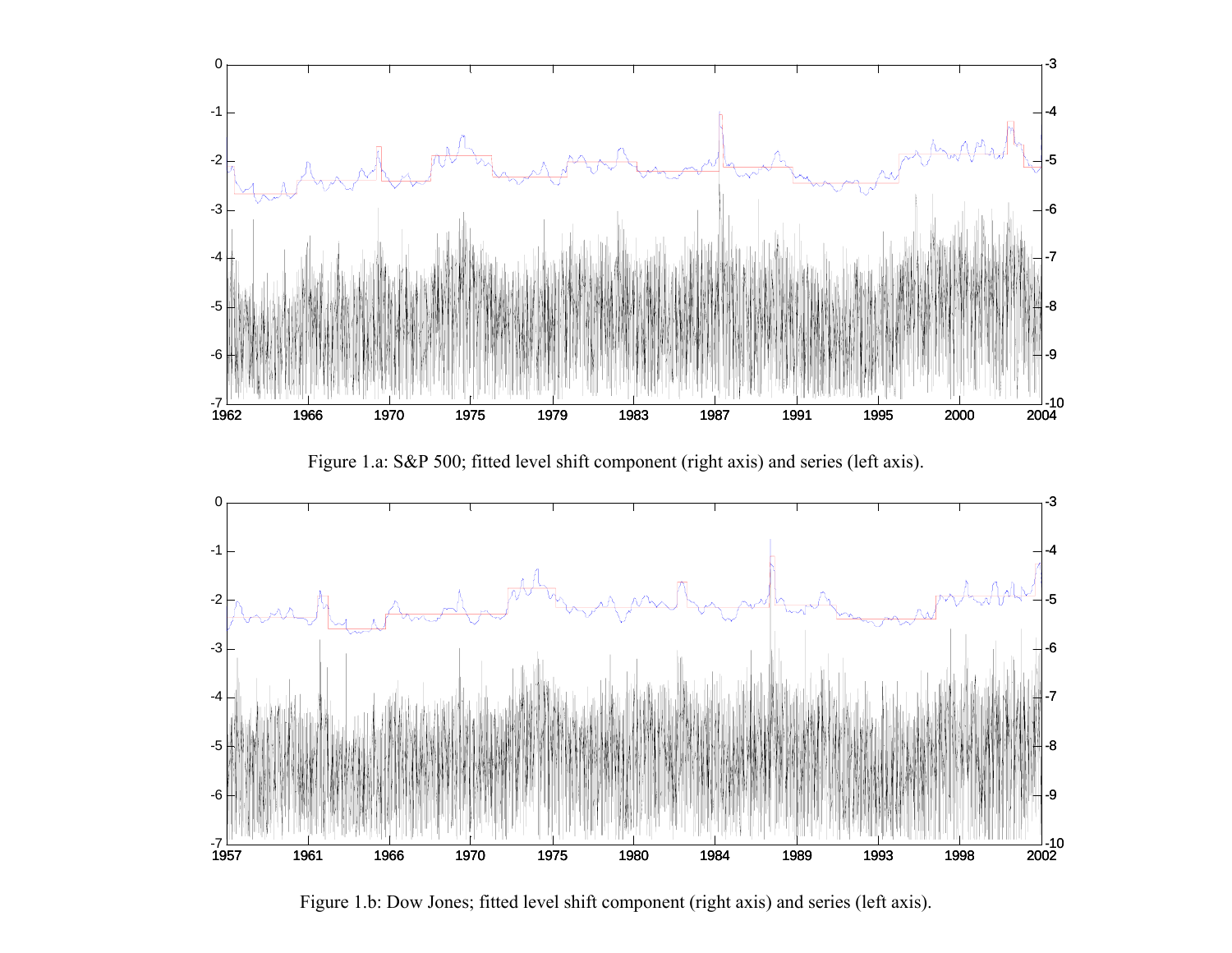

Figure 1.a: S&P 500; fitted level shift component (right axis) and series (left axis).



Figure 1.b: Dow Jones; fitted level shift component (right axis) and series (left axis).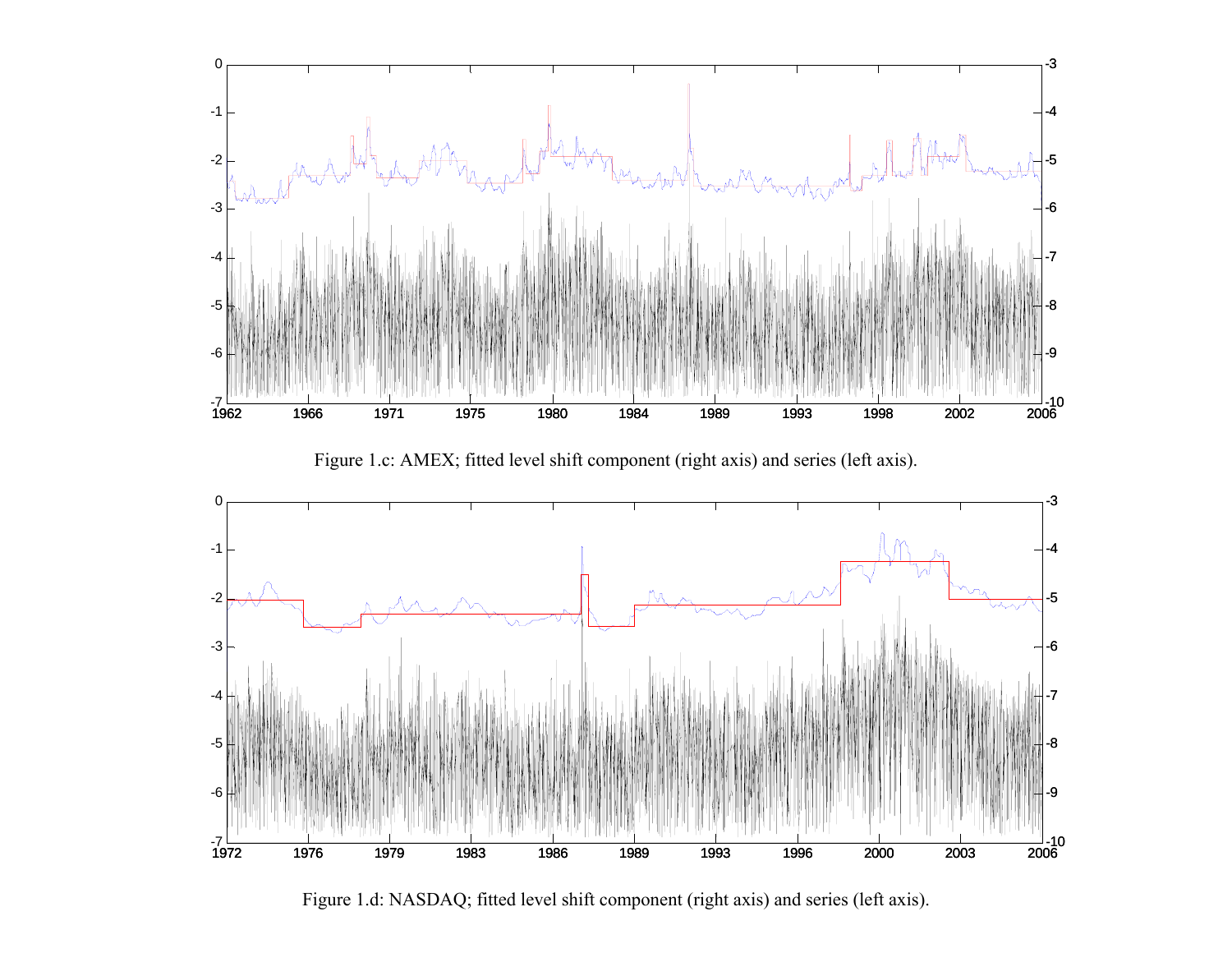

Figure 1.c: AMEX; fitted level shift component (right axis) and series (left axis).



Figure 1.d: NASDAQ; fitted level shift component (right axis) and series (left axis).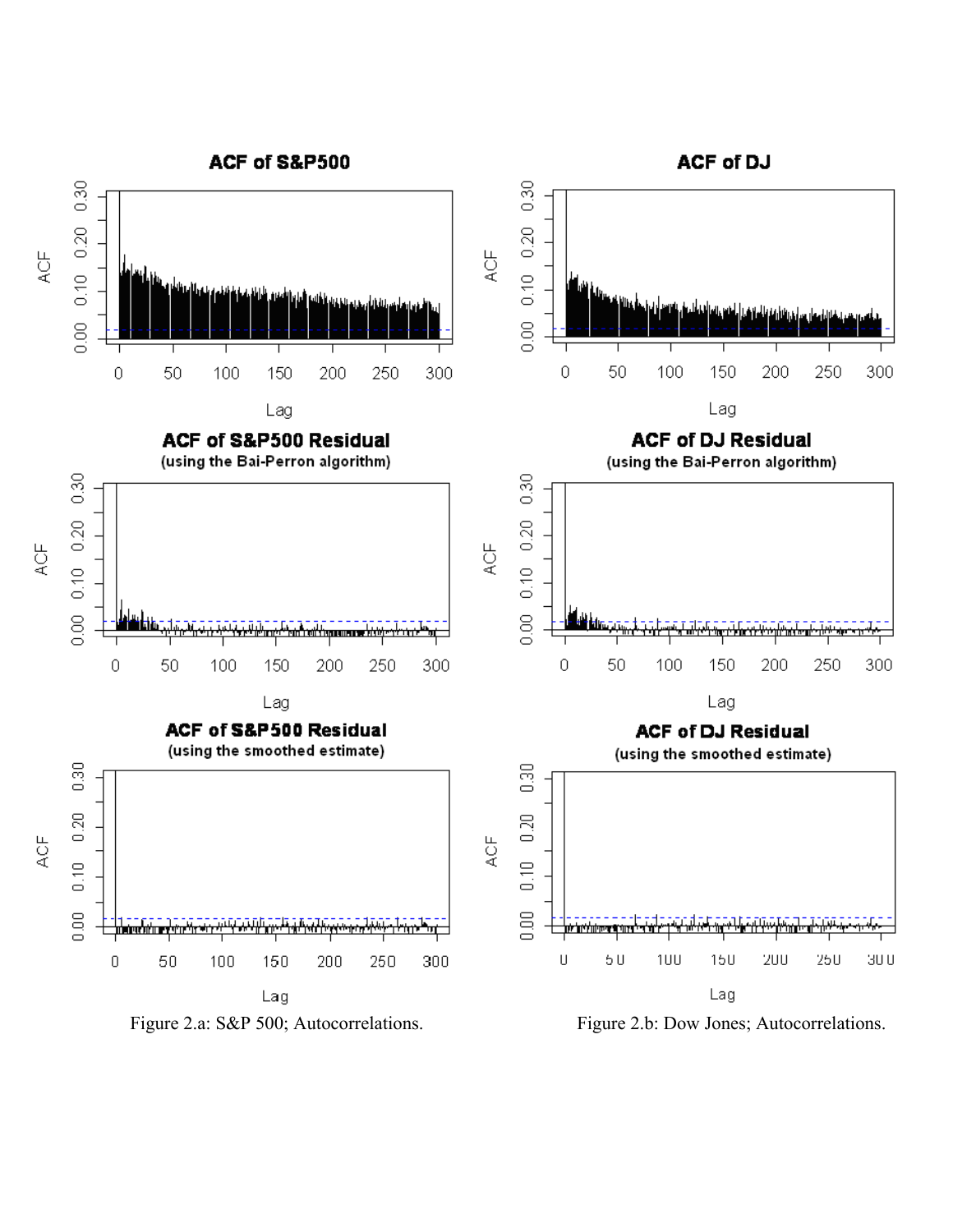

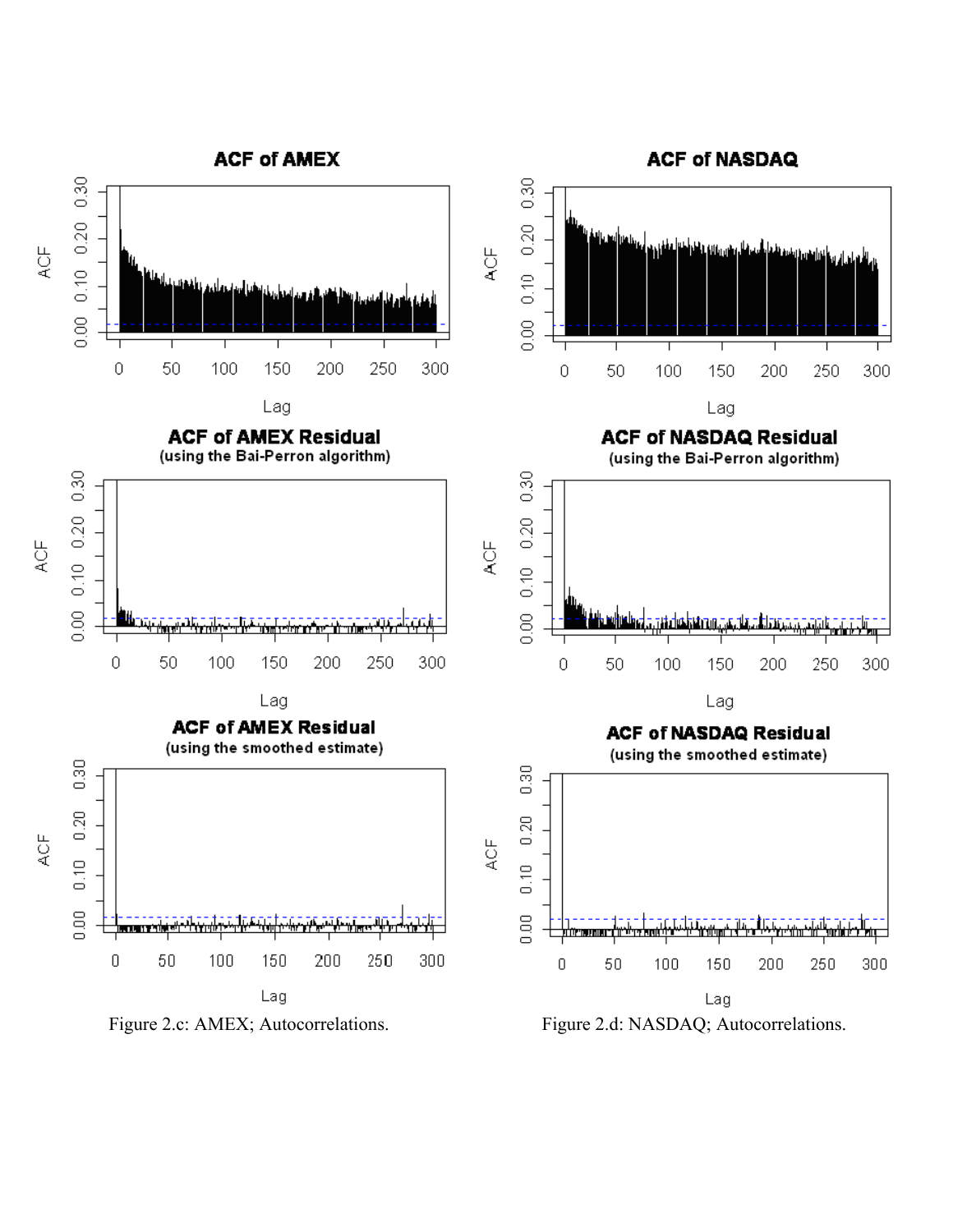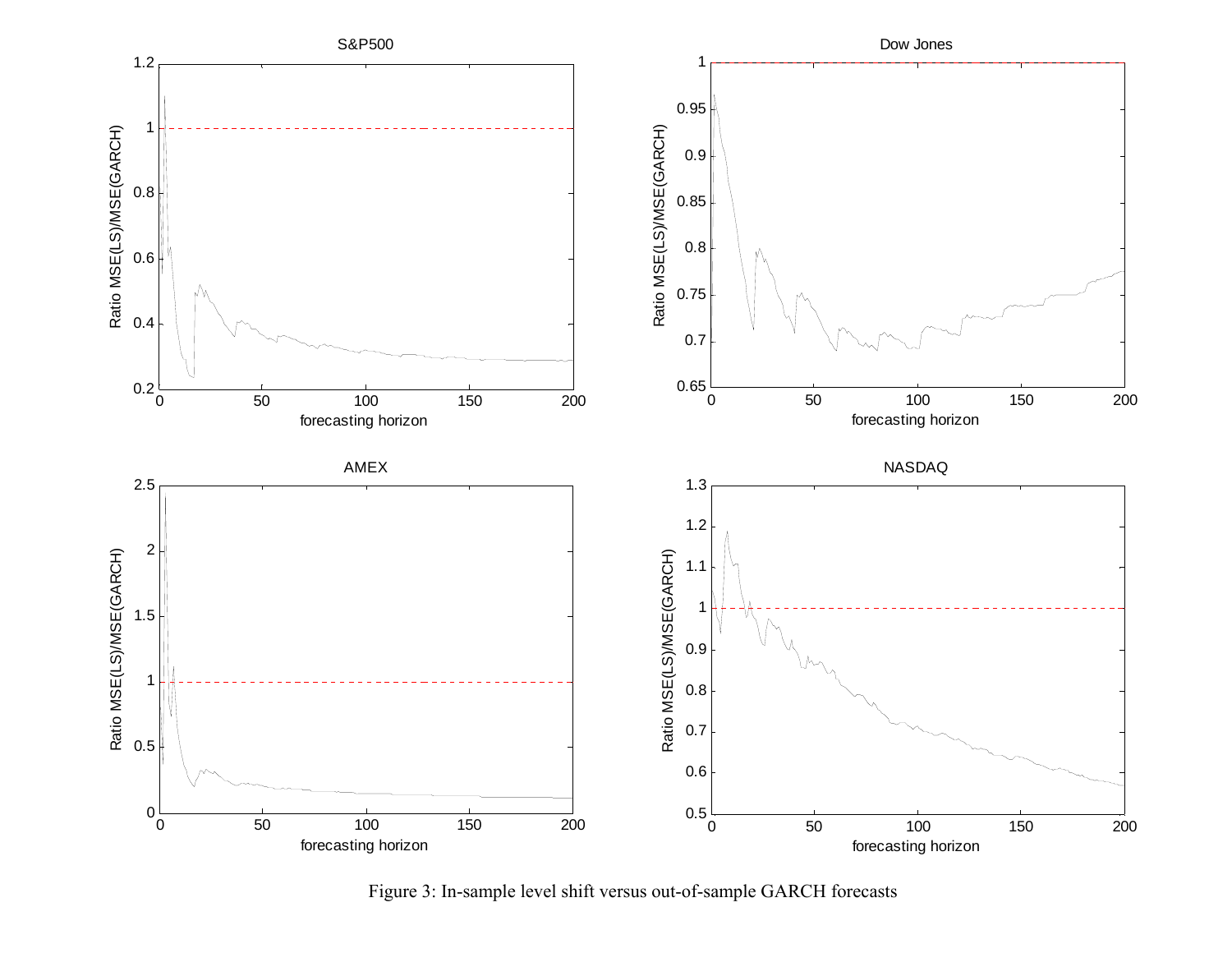

Figure 3: In-sample level shift versus out-of-sample GARCH forecasts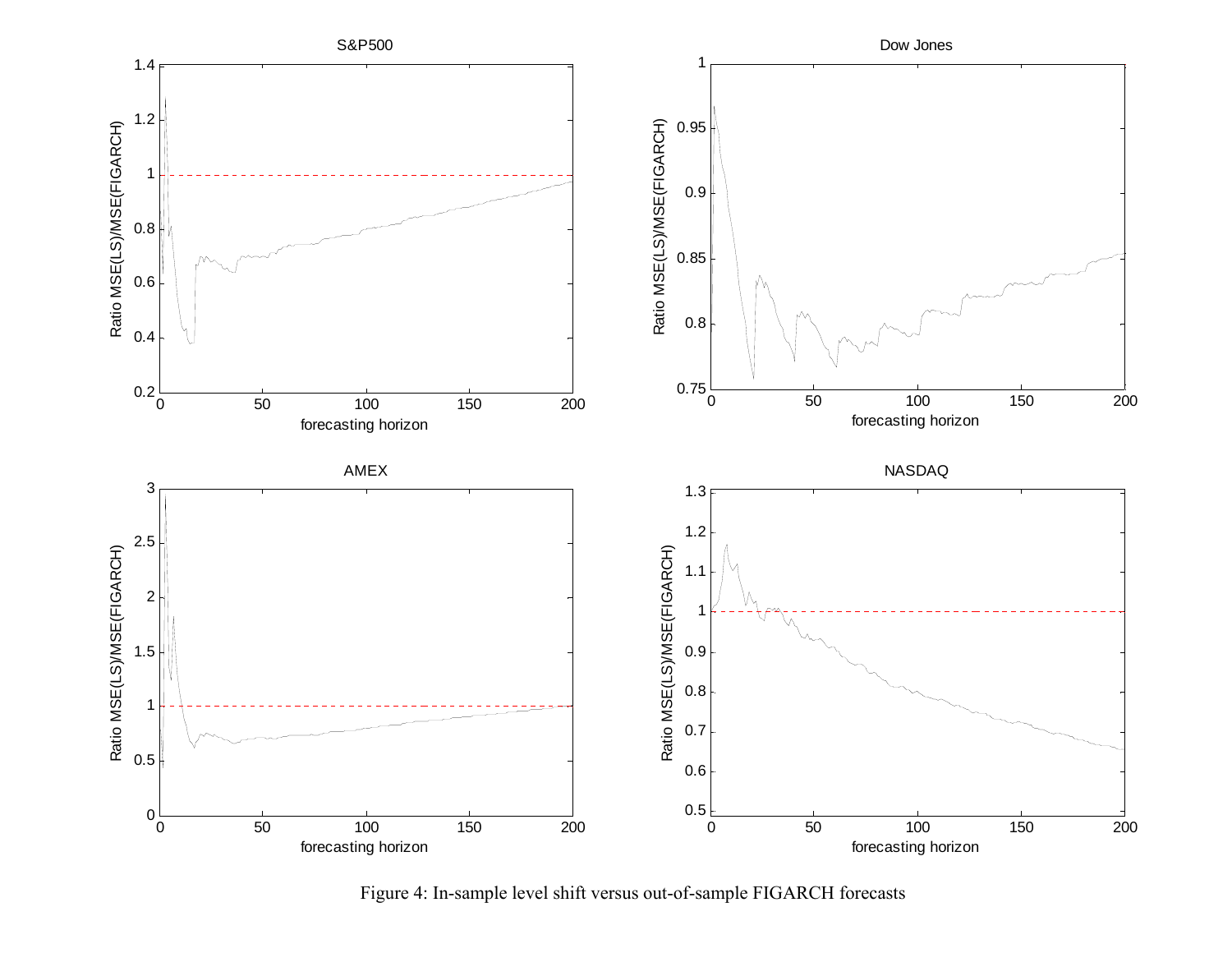

Figure 4: In-sample level shift versus out-of-sample FIGARCH forecasts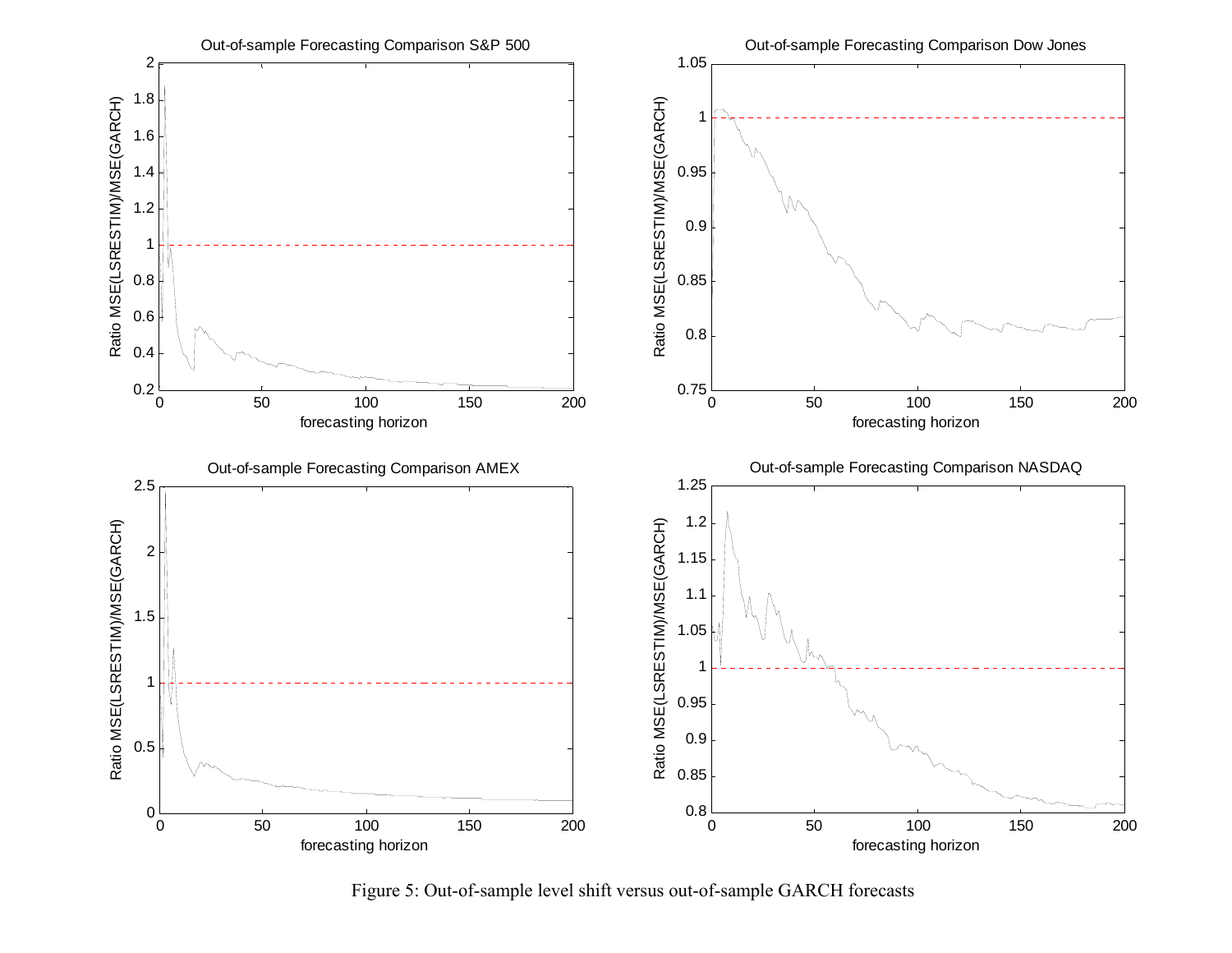

Figure 5: Out-of-sample level shift versus out-of-sample GARCH forecasts